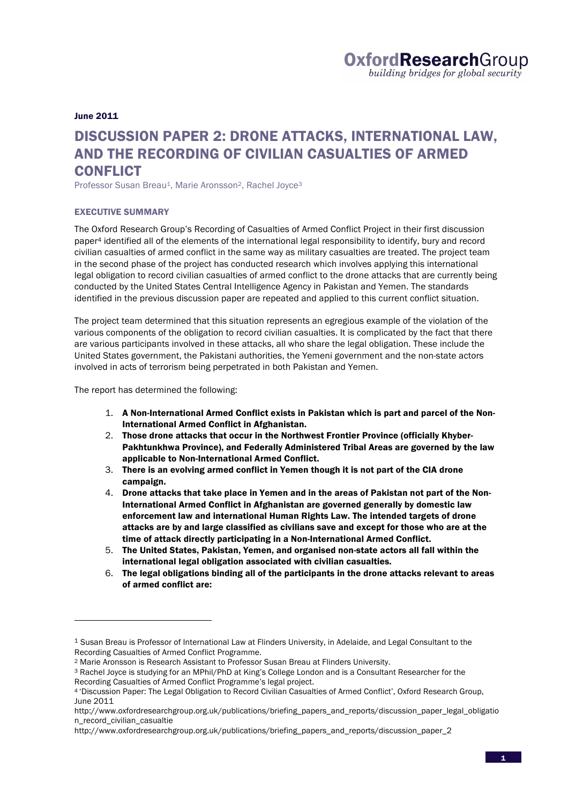June 2011

# DISCUSSION PAPER 2: DRONE ATTACKS, INTERNATIONAL LAW, AND THE RECORDING OF CIVILIAN CASUALTIES OF ARMED **CONFLICT**

Professor Susan Breau<sup>1</sup>, Marie Aronsson<sup>2</sup>, Rachel Joyce<sup>3</sup>

#### EXECUTIVE SUMMARY

The Oxford Research Group's Recording of Casualties of Armed Conflict Project in their first discussion paper4 identified all of the elements of the international legal responsibility to identify, bury and record civilian casualties of armed conflict in the same way as military casualties are treated. The project team in the second phase of the project has conducted research which involves applying this international legal obligation to record civilian casualties of armed conflict to the drone attacks that are currently being conducted by the United States Central Intelligence Agency in Pakistan and Yemen. The standards identified in the previous discussion paper are repeated and applied to this current conflict situation.

The project team determined that this situation represents an egregious example of the violation of the various components of the obligation to record civilian casualties. It is complicated by the fact that there are various participants involved in these attacks, all who share the legal obligation. These include the United States government, the Pakistani authorities, the Yemeni government and the non-state actors involved in acts of terrorism being perpetrated in both Pakistan and Yemen.

The report has determined the following:

- 1. A Non-International Armed Conflict exists in Pakistan which is part and parcel of the Non-International Armed Conflict in Afghanistan.
- 2. Those drone attacks that occur in the Northwest Frontier Province (officially Khyber-Pakhtunkhwa Province), and Federally Administered Tribal Areas are governed by the law applicable to Non-International Armed Conflict.
- 3. There is an evolving armed conflict in Yemen though it is not part of the CIA drone campaign.
- 4. Drone attacks that take place in Yemen and in the areas of Pakistan not part of the Non-International Armed Conflict in Afghanistan are governed generally by domestic law enforcement law and international Human Rights Law. The intended targets of drone attacks are by and large classified as civilians save and except for those who are at the time of attack directly participating in a Non-International Armed Conflict.
- 5. The United States, Pakistan, Yemen, and organised non-state actors all fall within the international legal obligation associated with civilian casualties.
- 6. The legal obligations binding all of the participants in the drone attacks relevant to areas of armed conflict are:

<sup>1</sup> Susan Breau is Professor of International Law at Flinders University, in Adelaide, and Legal Consultant to the Recording Casualties of Armed Conflict Programme.

<sup>2</sup> Marie Aronsson is Research Assistant to Professor Susan Breau at Flinders University.

<sup>3</sup> Rachel Joyce is studying for an MPhil/PhD at King's College London and is a Consultant Researcher for the Recording Casualties of Armed Conflict Programme's legal project.

<sup>4</sup> 'Discussion Paper: The Legal Obligation to Record Civilian Casualties of Armed Conflict', Oxford Research Group, June 2011

http://www.oxfordresearchgroup.org.uk/publications/briefing\_papers\_and\_reports/discussion\_paper\_legal\_obligatio n\_record\_civilian\_casualtie

http://www.oxfordresearchgroup.org.uk/publications/briefing\_papers\_and\_reports/discussion\_paper\_2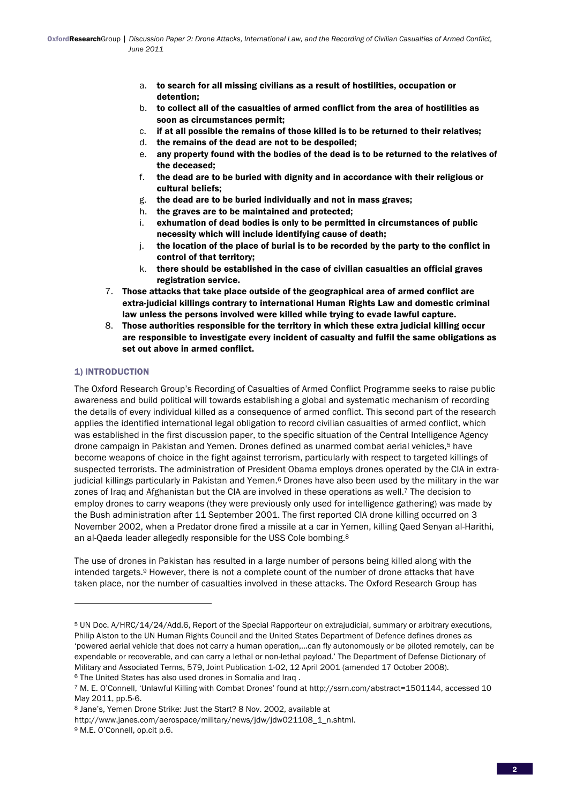- a. to search for all missing civilians as a result of hostilities, occupation or detention;
- b. to collect all of the casualties of armed conflict from the area of hostilities as soon as circumstances permit;
- c. if at all possible the remains of those killed is to be returned to their relatives;
- d. the remains of the dead are not to be despoiled;
- e. any property found with the bodies of the dead is to be returned to the relatives of the deceased;
- f. the dead are to be buried with dignity and in accordance with their religious or cultural beliefs;
- g. the dead are to be buried individually and not in mass graves;
- h. the graves are to be maintained and protected;
- i. exhumation of dead bodies is only to be permitted in circumstances of public necessity which will include identifying cause of death;
- j. the location of the place of burial is to be recorded by the party to the conflict in control of that territory;
- k. there should be established in the case of civilian casualties an official graves registration service.
- 7. Those attacks that take place outside of the geographical area of armed conflict are extra-judicial killings contrary to international Human Rights Law and domestic criminal law unless the persons involved were killed while trying to evade lawful capture.
- 8. Those authorities responsible for the territory in which these extra judicial killing occur are responsible to investigate every incident of casualty and fulfil the same obligations as set out above in armed conflict.

# 1) INTRODUCTION

The Oxford Research Group's Recording of Casualties of Armed Conflict Programme seeks to raise public awareness and build political will towards establishing a global and systematic mechanism of recording the details of every individual killed as a consequence of armed conflict. This second part of the research applies the identified international legal obligation to record civilian casualties of armed conflict, which was established in the first discussion paper, to the specific situation of the Central Intelligence Agency drone campaign in Pakistan and Yemen. Drones defined as unarmed combat aerial vehicles,<sup>5</sup> have become weapons of choice in the fight against terrorism, particularly with respect to targeted killings of suspected terrorists. The administration of President Obama employs drones operated by the CIA in extrajudicial killings particularly in Pakistan and Yemen.<sup>6</sup> Drones have also been used by the military in the war zones of Iraq and Afghanistan but the CIA are involved in these operations as well.<sup>7</sup> The decision to employ drones to carry weapons (they were previously only used for intelligence gathering) was made by the Bush administration after 11 September 2001. The first reported CIA drone killing occurred on 3 November 2002, when a Predator drone fired a missile at a car in Yemen, killing Qaed Senyan al-Harithi, an al-Qaeda leader allegedly responsible for the USS Cole bombing.8

The use of drones in Pakistan has resulted in a large number of persons being killed along with the intended targets.9 However, there is not a complete count of the number of drone attacks that have taken place, nor the number of casualties involved in these attacks. The Oxford Research Group has

<sup>5</sup> UN Doc. A/HRC/14/24/Add.6, Report of the Special Rapporteur on extrajudicial, summary or arbitrary executions, Philip Alston to the UN Human Rights Council and the United States Department of Defence defines drones as 'powered aerial vehicle that does not carry a human operation,...can fly autonomously or be piloted remotely, can be expendable or recoverable, and can carry a lethal or non-lethal payload.' The Department of Defense Dictionary of Military and Associated Terms, 579, Joint Publication 1-02, 12 April 2001 (amended 17 October 2008). 6 The United States has also used drones in Somalia and Iraq .

<sup>7</sup> M. E. O'Connell, 'Unlawful Killing with Combat Drones' found at http://ssrn.com/abstract=1501144, accessed 10 May 2011, pp.5-6.

<sup>8</sup> Jane's, Yemen Drone Strike: Just the Start? 8 Nov. 2002, available at

http://www.janes.com/aerospace/military/news/jdw/jdw021108\_1\_n.shtml.

<sup>9</sup> M.E. O'Connell, op.cit p.6.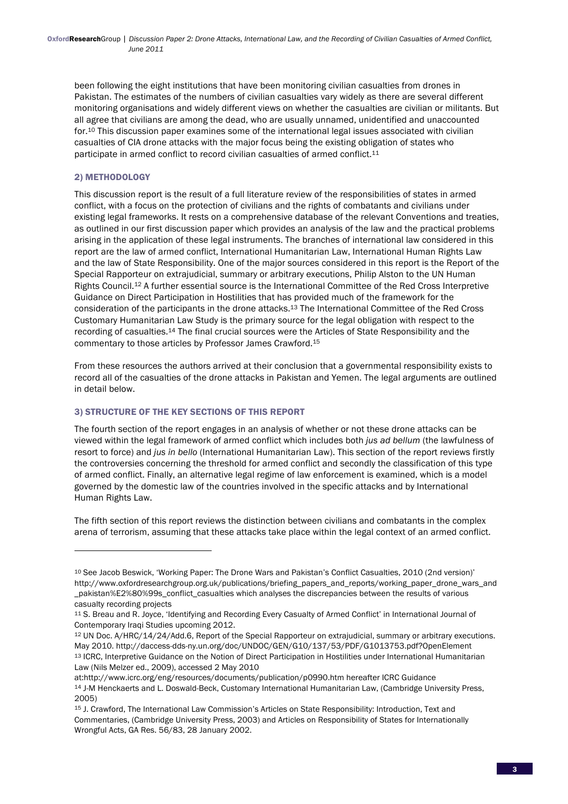been following the eight institutions that have been monitoring civilian casualties from drones in Pakistan. The estimates of the numbers of civilian casualties vary widely as there are several different monitoring organisations and widely different views on whether the casualties are civilian or militants. But all agree that civilians are among the dead, who are usually unnamed, unidentified and unaccounted for.10 This discussion paper examines some of the international legal issues associated with civilian casualties of CIA drone attacks with the major focus being the existing obligation of states who participate in armed conflict to record civilian casualties of armed conflict.<sup>11</sup>

## 2) METHODOLOGY

This discussion report is the result of a full literature review of the responsibilities of states in armed conflict, with a focus on the protection of civilians and the rights of combatants and civilians under existing legal frameworks. It rests on a comprehensive database of the relevant Conventions and treaties, as outlined in our first discussion paper which provides an analysis of the law and the practical problems arising in the application of these legal instruments. The branches of international law considered in this report are the law of armed conflict, International Humanitarian Law, International Human Rights Law and the law of State Responsibility. One of the major sources considered in this report is the Report of the Special Rapporteur on extrajudicial, summary or arbitrary executions, Philip Alston to the UN Human Rights Council.12 A further essential source is the International Committee of the Red Cross Interpretive Guidance on Direct Participation in Hostilities that has provided much of the framework for the consideration of the participants in the drone attacks.13 The International Committee of the Red Cross Customary Humanitarian Law Study is the primary source for the legal obligation with respect to the recording of casualties.14 The final crucial sources were the Articles of State Responsibility and the commentary to those articles by Professor James Crawford.15

From these resources the authors arrived at their conclusion that a governmental responsibility exists to record all of the casualties of the drone attacks in Pakistan and Yemen. The legal arguments are outlined in detail below.

# 3) STRUCTURE OF THE KEY SECTIONS OF THIS REPORT

<u> 1989 - Johann Stein, fransk politik (d. 1989)</u>

The fourth section of the report engages in an analysis of whether or not these drone attacks can be viewed within the legal framework of armed conflict which includes both *jus ad bellum* (the lawfulness of resort to force) and *jus in bello* (International Humanitarian Law). This section of the report reviews firstly the controversies concerning the threshold for armed conflict and secondly the classification of this type of armed conflict. Finally, an alternative legal regime of law enforcement is examined, which is a model governed by the domestic law of the countries involved in the specific attacks and by International Human Rights Law.

The fifth section of this report reviews the distinction between civilians and combatants in the complex arena of terrorism, assuming that these attacks take place within the legal context of an armed conflict.

<sup>10</sup> See Jacob Beswick, 'Working Paper: The Drone Wars and Pakistan's Conflict Casualties, 2010 (2nd version)' http://www.oxfordresearchgroup.org.uk/publications/briefing\_papers\_and\_reports/working\_paper\_drone\_wars\_and \_pakistan%E2%80%99s\_conflict\_casualties which analyses the discrepancies between the results of various casualty recording projects

<sup>11</sup> S. Breau and R. Joyce, 'Identifying and Recording Every Casualty of Armed Conflict' in International Journal of Contemporary Iraqi Studies upcoming 2012.

<sup>12</sup> UN Doc. A/HRC/14/24/Add.6, Report of the Special Rapporteur on extrajudicial, summary or arbitrary executions. May 2010. http://daccess-dds-ny.un.org/doc/UNDOC/GEN/G10/137/53/PDF/G1013753.pdf?OpenElement <sup>13</sup> ICRC, Interpretive Guidance on the Notion of Direct Participation in Hostilities under International Humanitarian Law (Nils Melzer ed., 2009), accessed 2 May 2010

at:http://www.icrc.org/eng/resources/documents/publication/p0990.htm hereafter ICRC Guidance 14 J-M Henckaerts and L. Doswald-Beck, Customary International Humanitarian Law, (Cambridge University Press, 2005)

<sup>15</sup> J. Crawford, The International Law Commission's Articles on State Responsibility: Introduction, Text and Commentaries, (Cambridge University Press, 2003) and Articles on Responsibility of States for Internationally Wrongful Acts, GA Res. 56/83, 28 January 2002.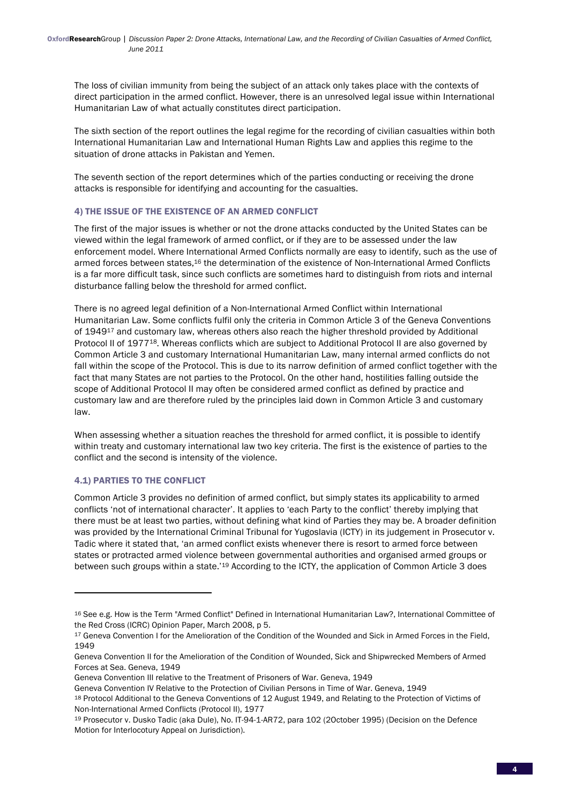The loss of civilian immunity from being the subject of an attack only takes place with the contexts of direct participation in the armed conflict. However, there is an unresolved legal issue within International Humanitarian Law of what actually constitutes direct participation.

The sixth section of the report outlines the legal regime for the recording of civilian casualties within both International Humanitarian Law and International Human Rights Law and applies this regime to the situation of drone attacks in Pakistan and Yemen.

The seventh section of the report determines which of the parties conducting or receiving the drone attacks is responsible for identifying and accounting for the casualties.

## 4) THE ISSUE OF THE EXISTENCE OF AN ARMED CONFLICT

The first of the major issues is whether or not the drone attacks conducted by the United States can be viewed within the legal framework of armed conflict, or if they are to be assessed under the law enforcement model. Where International Armed Conflicts normally are easy to identify, such as the use of armed forces between states,16 the determination of the existence of Non-International Armed Conflicts is a far more difficult task, since such conflicts are sometimes hard to distinguish from riots and internal disturbance falling below the threshold for armed conflict.

There is no agreed legal definition of a Non-International Armed Conflict within International Humanitarian Law. Some conflicts fulfil only the criteria in Common Article 3 of the Geneva Conventions of 1949<sup>17</sup> and customary law, whereas others also reach the higher threshold provided by Additional Protocol II of 1977<sup>18</sup>. Whereas conflicts which are subject to Additional Protocol II are also governed by Common Article 3 and customary International Humanitarian Law, many internal armed conflicts do not fall within the scope of the Protocol. This is due to its narrow definition of armed conflict together with the fact that many States are not parties to the Protocol. On the other hand, hostilities falling outside the scope of Additional Protocol II may often be considered armed conflict as defined by practice and customary law and are therefore ruled by the principles laid down in Common Article 3 and customary law.

When assessing whether a situation reaches the threshold for armed conflict, it is possible to identify within treaty and customary international law two key criteria. The first is the existence of parties to the conflict and the second is intensity of the violence.

## 4.1) PARTIES TO THE CONFLICT

<u> 1989 - Johann Stein, fransk politik (d. 1989)</u>

Common Article 3 provides no definition of armed conflict, but simply states its applicability to armed conflicts 'not of international character'. It applies to 'each Party to the conflict' thereby implying that there must be at least two parties, without defining what kind of Parties they may be. A broader definition was provided by the International Criminal Tribunal for Yugoslavia (ICTY) in its judgement in Prosecutor v. Tadic where it stated that, 'an armed conflict exists whenever there is resort to armed force between states or protracted armed violence between governmental authorities and organised armed groups or between such groups within a state.'19 According to the ICTY, the application of Common Article 3 does

<sup>16</sup> See e.g. How is the Term "Armed Conflict" Defined in International Humanitarian Law?, International Committee of the Red Cross (ICRC) Opinion Paper, March 2008, p 5.

<sup>&</sup>lt;sup>17</sup> Geneva Convention I for the Amelioration of the Condition of the Wounded and Sick in Armed Forces in the Field, 1949

Geneva Convention II for the Amelioration of the Condition of Wounded, Sick and Shipwrecked Members of Armed Forces at Sea. Geneva, 1949

Geneva Convention III relative to the Treatment of Prisoners of War. Geneva, 1949

Geneva Convention IV Relative to the Protection of Civilian Persons in Time of War. Geneva, 1949

<sup>18</sup> Protocol Additional to the Geneva Conventions of 12 August 1949, and Relating to the Protection of Victims of Non-International Armed Conflicts (Protocol II), 1977

<sup>19</sup> Prosecutor v. Dusko Tadic (aka Dule), No. IT-94-1-AR72, para 102 (2October 1995) (Decision on the Defence Motion for Interlocotury Appeal on Jurisdiction).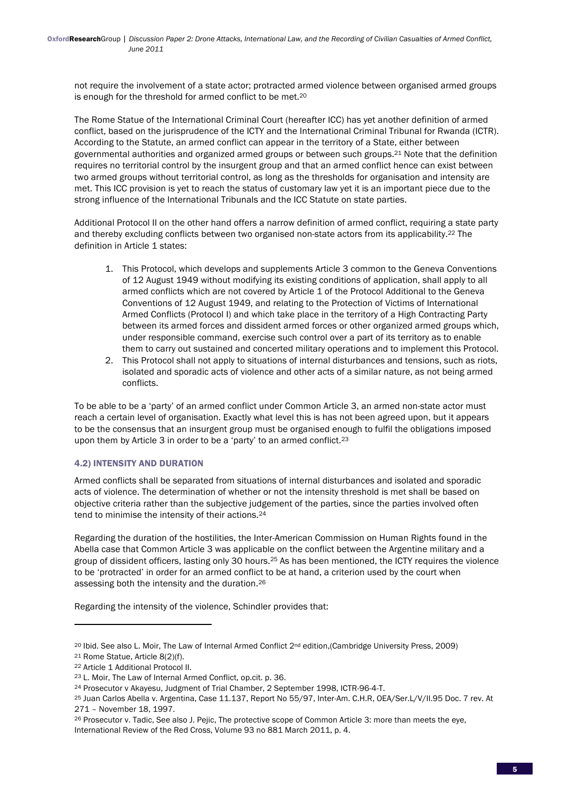not require the involvement of a state actor; protracted armed violence between organised armed groups is enough for the threshold for armed conflict to be met.20

The Rome Statue of the International Criminal Court (hereafter ICC) has yet another definition of armed conflict, based on the jurisprudence of the ICTY and the International Criminal Tribunal for Rwanda (ICTR). According to the Statute, an armed conflict can appear in the territory of a State, either between governmental authorities and organized armed groups or between such groups.21 Note that the definition requires no territorial control by the insurgent group and that an armed conflict hence can exist between two armed groups without territorial control, as long as the thresholds for organisation and intensity are met. This ICC provision is yet to reach the status of customary law yet it is an important piece due to the strong influence of the International Tribunals and the ICC Statute on state parties.

Additional Protocol II on the other hand offers a narrow definition of armed conflict, requiring a state party and thereby excluding conflicts between two organised non-state actors from its applicability.22 The definition in Article 1 states:

- 1. This Protocol, which develops and supplements Article 3 common to the Geneva Conventions of 12 August 1949 without modifying its existing conditions of application, shall apply to all armed conflicts which are not covered by Article 1 of the Protocol Additional to the Geneva Conventions of 12 August 1949, and relating to the Protection of Victims of International Armed Conflicts (Protocol I) and which take place in the territory of a High Contracting Party between its armed forces and dissident armed forces or other organized armed groups which, under responsible command, exercise such control over a part of its territory as to enable them to carry out sustained and concerted military operations and to implement this Protocol.
- 2. This Protocol shall not apply to situations of internal disturbances and tensions, such as riots, isolated and sporadic acts of violence and other acts of a similar nature, as not being armed conflicts.

To be able to be a 'party' of an armed conflict under Common Article 3, an armed non-state actor must reach a certain level of organisation. Exactly what level this is has not been agreed upon, but it appears to be the consensus that an insurgent group must be organised enough to fulfil the obligations imposed upon them by Article 3 in order to be a 'party' to an armed conflict.<sup>23</sup>

# 4.2) INTENSITY AND DURATION

Armed conflicts shall be separated from situations of internal disturbances and isolated and sporadic acts of violence. The determination of whether or not the intensity threshold is met shall be based on objective criteria rather than the subjective judgement of the parties, since the parties involved often tend to minimise the intensity of their actions.<sup>24</sup>

Regarding the duration of the hostilities, the Inter-American Commission on Human Rights found in the Abella case that Common Article 3 was applicable on the conflict between the Argentine military and a group of dissident officers, lasting only 30 hours.25 As has been mentioned, the ICTY requires the violence to be 'protracted' in order for an armed conflict to be at hand, a criterion used by the court when assessing both the intensity and the duration.26

Regarding the intensity of the violence, Schindler provides that:

<sup>20</sup> Ibid. See also L. Moir, The Law of Internal Armed Conflict 2nd edition,(Cambridge University Press, 2009)

<sup>21</sup> Rome Statue, Article 8(2)(f).

<sup>22</sup> Article 1 Additional Protocol II.

<sup>23</sup> L. Moir, The Law of Internal Armed Conflict, op.cit. p. 36.

<sup>24</sup> Prosecutor v Akayesu, Judgment of Trial Chamber, 2 September 1998, ICTR-96-4-T.

<sup>25</sup> Juan Carlos Abella v. Argentina, Case 11.137, Report No 55/97, Inter-Am. C.H.R, OEA/Ser.L/V/II.95 Doc. 7 rev. At 271 – November 18, 1997.

<sup>&</sup>lt;sup>26</sup> Prosecutor v. Tadic, See also J. Pejic, The protective scope of Common Article 3: more than meets the eye, International Review of the Red Cross, Volume 93 no 881 March 2011, p. 4.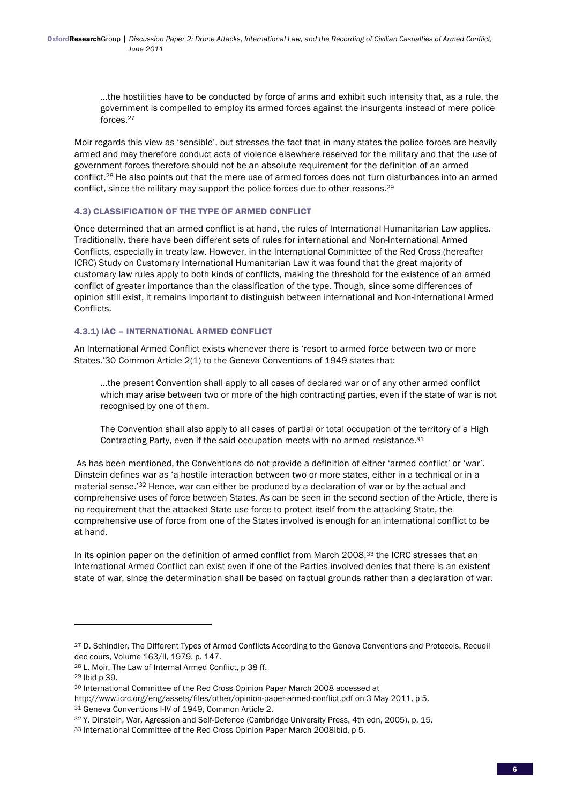...the hostilities have to be conducted by force of arms and exhibit such intensity that, as a rule, the government is compelled to employ its armed forces against the insurgents instead of mere police forces.27

Moir regards this view as 'sensible', but stresses the fact that in many states the police forces are heavily armed and may therefore conduct acts of violence elsewhere reserved for the military and that the use of government forces therefore should not be an absolute requirement for the definition of an armed conflict.28 He also points out that the mere use of armed forces does not turn disturbances into an armed conflict, since the military may support the police forces due to other reasons.29

## 4.3) CLASSIFICATION OF THE TYPE OF ARMED CONFLICT

Once determined that an armed conflict is at hand, the rules of International Humanitarian Law applies. Traditionally, there have been different sets of rules for international and Non-International Armed Conflicts, especially in treaty law. However, in the International Committee of the Red Cross (hereafter ICRC) Study on Customary International Humanitarian Law it was found that the great majority of customary law rules apply to both kinds of conflicts, making the threshold for the existence of an armed conflict of greater importance than the classification of the type. Though, since some differences of opinion still exist, it remains important to distinguish between international and Non-International Armed Conflicts.

## 4.3.1) IAC – INTERNATIONAL ARMED CONFLICT

An International Armed Conflict exists whenever there is 'resort to armed force between two or more States.'30 Common Article 2(1) to the Geneva Conventions of 1949 states that:

...the present Convention shall apply to all cases of declared war or of any other armed conflict which may arise between two or more of the high contracting parties, even if the state of war is not recognised by one of them.

The Convention shall also apply to all cases of partial or total occupation of the territory of a High Contracting Party, even if the said occupation meets with no armed resistance.31

 As has been mentioned, the Conventions do not provide a definition of either 'armed conflict' or 'war'. Dinstein defines war as 'a hostile interaction between two or more states, either in a technical or in a material sense.'32 Hence, war can either be produced by a declaration of war or by the actual and comprehensive uses of force between States. As can be seen in the second section of the Article, there is no requirement that the attacked State use force to protect itself from the attacking State, the comprehensive use of force from one of the States involved is enough for an international conflict to be at hand.

In its opinion paper on the definition of armed conflict from March 2008,<sup>33</sup> the ICRC stresses that an International Armed Conflict can exist even if one of the Parties involved denies that there is an existent state of war, since the determination shall be based on factual grounds rather than a declaration of war.

<sup>27</sup> D. Schindler, The Different Types of Armed Conflicts According to the Geneva Conventions and Protocols, Recueil dec cours, Volume 163/II, 1979, p. 147.

<sup>28</sup> L. Moir, The Law of Internal Armed Conflict, p 38 ff.

<sup>29</sup> Ibid p 39.

<sup>30</sup> International Committee of the Red Cross Opinion Paper March 2008 accessed at

http://www.icrc.org/eng/assets/files/other/opinion-paper-armed-conflict.pdf on 3 May 2011, p 5.

<sup>31</sup> Geneva Conventions I-IV of 1949, Common Article 2.

<sup>32</sup> Y. Dinstein, War, Agression and Self-Defence (Cambridge University Press, 4th edn, 2005), p. 15.

<sup>33</sup> International Committee of the Red Cross Opinion Paper March 2008Ibid, p 5.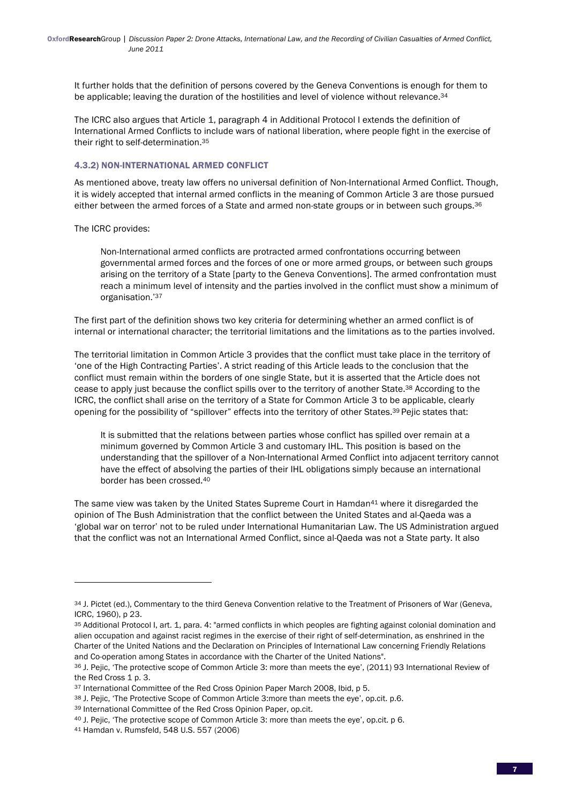It further holds that the definition of persons covered by the Geneva Conventions is enough for them to be applicable; leaving the duration of the hostilities and level of violence without relevance.<sup>34</sup>

The ICRC also argues that Article 1, paragraph 4 in Additional Protocol I extends the definition of International Armed Conflicts to include wars of national liberation, where people fight in the exercise of their right to self-determination.35

#### 4.3.2) NON-INTERNATIONAL ARMED CONFLICT

As mentioned above, treaty law offers no universal definition of Non-International Armed Conflict. Though, it is widely accepted that internal armed conflicts in the meaning of Common Article 3 are those pursued either between the armed forces of a State and armed non-state groups or in between such groups.36

The ICRC provides:

Non-International armed conflicts are protracted armed confrontations occurring between governmental armed forces and the forces of one or more armed groups, or between such groups arising on the territory of a State [party to the Geneva Conventions]. The armed confrontation must reach a minimum level of intensity and the parties involved in the conflict must show a minimum of organisation.'37

The first part of the definition shows two key criteria for determining whether an armed conflict is of internal or international character; the territorial limitations and the limitations as to the parties involved.

The territorial limitation in Common Article 3 provides that the conflict must take place in the territory of 'one of the High Contracting Parties'. A strict reading of this Article leads to the conclusion that the conflict must remain within the borders of one single State, but it is asserted that the Article does not cease to apply just because the conflict spills over to the territory of another State.38 According to the ICRC, the conflict shall arise on the territory of a State for Common Article 3 to be applicable, clearly opening for the possibility of "spillover" effects into the territory of other States.39 Pejic states that:

It is submitted that the relations between parties whose conflict has spilled over remain at a minimum governed by Common Article 3 and customary IHL. This position is based on the understanding that the spillover of a Non-International Armed Conflict into adjacent territory cannot have the effect of absolving the parties of their IHL obligations simply because an international border has been crossed.40

The same view was taken by the United States Supreme Court in Hamdan<sup>41</sup> where it disregarded the opinion of The Bush Administration that the conflict between the United States and al-Qaeda was a 'global war on terror' not to be ruled under International Humanitarian Law. The US Administration argued that the conflict was not an International Armed Conflict, since al-Qaeda was not a State party. It also

<sup>34</sup> J. Pictet (ed.), Commentary to the third Geneva Convention relative to the Treatment of Prisoners of War (Geneva, ICRC, 1960), p 23.

<sup>35</sup> Additional Protocol I, art. 1, para. 4: "armed conflicts in which peoples are fighting against colonial domination and alien occupation and against racist regimes in the exercise of their right of self-determination, as enshrined in the Charter of the United Nations and the Declaration on Principles of International Law concerning Friendly Relations and Co-operation among States in accordance with the Charter of the United Nations".

<sup>36</sup> J. Pejic, 'The protective scope of Common Article 3: more than meets the eye', (2011) 93 International Review of the Red Cross 1 p. 3.

<sup>37</sup> International Committee of the Red Cross Opinion Paper March 2008, Ibid, p 5.

<sup>38</sup> J. Pejic, 'The Protective Scope of Common Article 3:more than meets the eye', op.cit. p.6.

<sup>39</sup> International Committee of the Red Cross Opinion Paper, op.cit.

<sup>40</sup> J. Pejic, 'The protective scope of Common Article 3: more than meets the eye', op.cit. p 6.

<sup>41</sup> Hamdan v. Rumsfeld, 548 U.S. 557 (2006)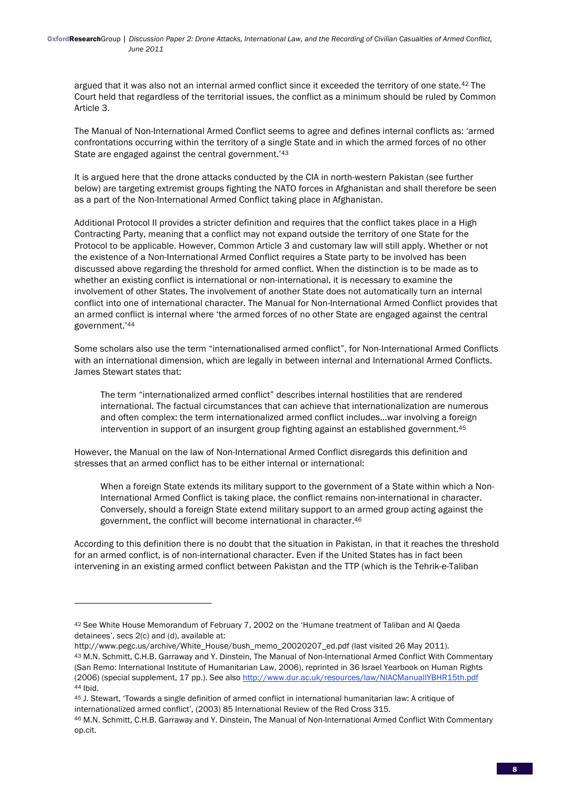argued that it was also not an internal armed conflict since it exceeded the territory of one state.42 The Court held that regardless of the territorial issues, the conflict as a minimum should be ruled by Common Article 3.

The Manual of Non-International Armed Conflict seems to agree and defines internal conflicts as: 'armed confrontations occurring within the territory of a single State and in which the armed forces of no other State are engaged against the central government.'43

It is argued here that the drone attacks conducted by the CIA in north-western Pakistan (see further below) are targeting extremist groups fighting the NATO forces in Afghanistan and shall therefore be seen as a part of the Non-International Armed Conflict taking place in Afghanistan.

Additional Protocol II provides a stricter definition and requires that the conflict takes place in a High Contracting Party, meaning that a conflict may not expand outside the territory of one State for the Protocol to be applicable. However, Common Article 3 and customary law will still apply. Whether or not the existence of a Non-International Armed Conflict requires a State party to be involved has been discussed above regarding the threshold for armed conflict. When the distinction is to be made as to whether an existing conflict is international or non-international, it is necessary to examine the involvement of other States. The involvement of another State does not automatically turn an internal conflict into one of international character. The Manual for Non-International Armed Conflict provides that an armed conflict is internal where 'the armed forces of no other State are engaged against the central government.'44

Some scholars also use the term "internationalised armed conflict", for Non-International Armed Conflicts with an international dimension, which are legally in between internal and International Armed Conflicts. James Stewart states that:

The term "internationalized armed conflict" describes internal hostilities that are rendered international. The factual circumstances that can achieve that internationalization are numerous and often complex: the term internationalized armed conflict includes...war involving a foreign intervention in support of an insurgent group fighting against an established government.45

However, the Manual on the law of Non-International Armed Conflict disregards this definition and stresses that an armed conflict has to be either internal or international:

When a foreign State extends its military support to the government of a State within which a Non-International Armed Conflict is taking place, the conflict remains non-international in character. Conversely, should a foreign State extend military support to an armed group acting against the government, the conflict will become international in character.46

According to this definition there is no doubt that the situation in Pakistan, in that it reaches the threshold for an armed conflict, is of non-international character. Even if the United States has in fact been intervening in an existing armed conflict between Pakistan and the TTP (which is the Tehrik-e-Taliban

<u> 1989 - Johann Stein, fransk politik (d. 1989)</u>

http://www.pegc.us/archive/White\_House/bush\_memo\_20020207\_ed.pdf (last visited 26 May 2011). 43 M.N. Schmitt, C.H.B. Garraway and Y. Dinstein, The Manual of Non-International Armed Conflict With Commentary (San Remo: International Institute of Humanitarian Law, 2006), reprinted in 36 Israel Yearbook on Human Rights (2006) (special supplement, 17 pp.). See also http://www.dur.ac.uk/resources/law/NIACManualIYBHR15th.pdf 44 Ibid.

<sup>42</sup> See White House Memorandum of February 7, 2002 on the 'Humane treatment of Taliban and Al Qaeda detainees', secs 2(c) and (d), available at:

<sup>45</sup> J. Stewart, 'Towards a single definition of armed conflict in international humanitarian law: A critique of internationalized armed conflict', (2003) 85 International Review of the Red Cross 315.

<sup>46</sup> M.N. Schmitt, C.H.B. Garraway and Y. Dinstein, The Manual of Non-International Armed Conflict With Commentary op.cit.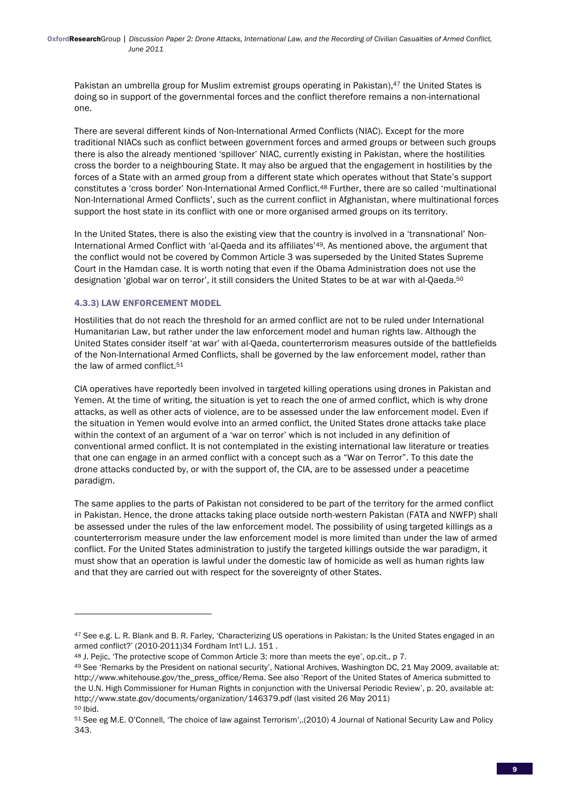Pakistan an umbrella group for Muslim extremist groups operating in Pakistan), <sup>47</sup> the United States is doing so in support of the governmental forces and the conflict therefore remains a non-international one.

There are several different kinds of Non-International Armed Conflicts (NIAC). Except for the more traditional NIACs such as conflict between government forces and armed groups or between such groups there is also the already mentioned 'spillover' NIAC, currently existing in Pakistan, where the hostilities cross the border to a neighbouring State. It may also be argued that the engagement in hostilities by the forces of a State with an armed group from a different state which operates without that State's support constitutes a 'cross border' Non-International Armed Conflict.48 Further, there are so called 'multinational Non-International Armed Conflicts', such as the current conflict in Afghanistan, where multinational forces support the host state in its conflict with one or more organised armed groups on its territory.

In the United States, there is also the existing view that the country is involved in a 'transnational' Non-International Armed Conflict with 'al-Qaeda and its affiliates'49. As mentioned above, the argument that the conflict would not be covered by Common Article 3 was superseded by the United States Supreme Court in the Hamdan case. It is worth noting that even if the Obama Administration does not use the designation 'global war on terror', it still considers the United States to be at war with al-Qaeda.<sup>50</sup>

## 4.3.3) LAW ENFORCEMENT MODEL

<u> 1989 - Johann Stein, fransk politik (d. 1989)</u>

Hostilities that do not reach the threshold for an armed conflict are not to be ruled under International Humanitarian Law, but rather under the law enforcement model and human rights law. Although the United States consider itself 'at war' with al-Qaeda, counterterrorism measures outside of the battlefields of the Non-International Armed Conflicts, shall be governed by the law enforcement model, rather than the law of armed conflict.<sup>51</sup>

CIA operatives have reportedly been involved in targeted killing operations using drones in Pakistan and Yemen. At the time of writing, the situation is yet to reach the one of armed conflict, which is why drone attacks, as well as other acts of violence, are to be assessed under the law enforcement model. Even if the situation in Yemen would evolve into an armed conflict, the United States drone attacks take place within the context of an argument of a 'war on terror' which is not included in any definition of conventional armed conflict. It is not contemplated in the existing international law literature or treaties that one can engage in an armed conflict with a concept such as a "War on Terror". To this date the drone attacks conducted by, or with the support of, the CIA, are to be assessed under a peacetime paradigm.

The same applies to the parts of Pakistan not considered to be part of the territory for the armed conflict in Pakistan. Hence, the drone attacks taking place outside north-western Pakistan (FATA and NWFP) shall be assessed under the rules of the law enforcement model. The possibility of using targeted killings as a counterterrorism measure under the law enforcement model is more limited than under the law of armed conflict. For the United States administration to justify the targeted killings outside the war paradigm, it must show that an operation is lawful under the domestic law of homicide as well as human rights law and that they are carried out with respect for the sovereignty of other States.

<sup>47</sup> See e.g. L. R. Blank and B. R. Farley, 'Characterizing US operations in Pakistan: Is the United States engaged in an armed conflict?' (2010-2011)34 Fordham Int'l L.J. 151 .

<sup>48</sup> J. Pejic, 'The protective scope of Common Article 3: more than meets the eye', op.cit., p 7.

<sup>49</sup> See 'Remarks by the President on national security', National Archives, Washington DC, 21 May 2009, available at: http://www.whitehouse.gov/the\_press\_office/Rema. See also 'Report of the United States of America submitted to the U.N. High Commissioner for Human Rights in conjunction with the Universal Periodic Review', p. 20, available at: http://www.state.gov/documents/organization/146379.pdf (last visited 26 May 2011) 50 Ibid.

<sup>51</sup> See eg M.E. O'Connell, 'The choice of law against Terrorism',.(2010) 4 Journal of National Security Law and Policy 343.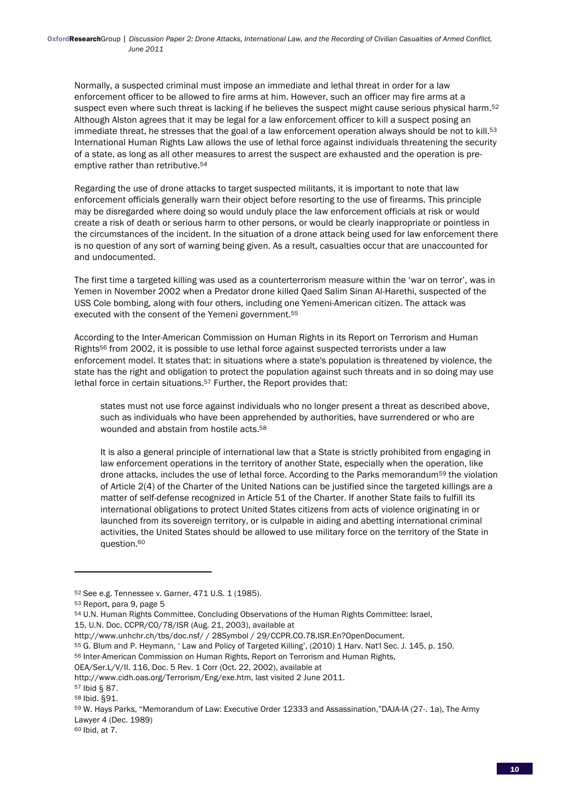Normally, a suspected criminal must impose an immediate and lethal threat in order for a law enforcement officer to be allowed to fire arms at him. However, such an officer may fire arms at a suspect even where such threat is lacking if he believes the suspect might cause serious physical harm.<sup>52</sup> Although Alston agrees that it may be legal for a law enforcement officer to kill a suspect posing an immediate threat, he stresses that the goal of a law enforcement operation always should be not to kill.<sup>53</sup> International Human Rights Law allows the use of lethal force against individuals threatening the security of a state, as long as all other measures to arrest the suspect are exhausted and the operation is preemptive rather than retributive.<sup>54</sup>

Regarding the use of drone attacks to target suspected militants, it is important to note that law enforcement officials generally warn their object before resorting to the use of firearms. This principle may be disregarded where doing so would unduly place the law enforcement officials at risk or would create a risk of death or serious harm to other persons, or would be clearly inappropriate or pointless in the circumstances of the incident. In the situation of a drone attack being used for law enforcement there is no question of any sort of warning being given. As a result, casualties occur that are unaccounted for and undocumented.

The first time a targeted killing was used as a counterterrorism measure within the 'war on terror', was in Yemen in November 2002 when a Predator drone killed Qaed Salim Sinan Al-Harethi, suspected of the USS Cole bombing, along with four others, including one Yemeni-American citizen. The attack was executed with the consent of the Yemeni government.55

According to the Inter-American Commission on Human Rights in its Report on Terrorism and Human Rights56 from 2002, it is possible to use lethal force against suspected terrorists under a law enforcement model. It states that: in situations where a state's population is threatened by violence, the state has the right and obligation to protect the population against such threats and in so doing may use lethal force in certain situations.<sup>57</sup> Further, the Report provides that:

states must not use force against individuals who no longer present a threat as described above, such as individuals who have been apprehended by authorities, have surrendered or who are wounded and abstain from hostile acts.58

It is also a general principle of international law that a State is strictly prohibited from engaging in law enforcement operations in the territory of another State, especially when the operation, like drone attacks, includes the use of lethal force. According to the Parks memorandum<sup>59</sup> the violation of Article 2(4) of the Charter of the United Nations can be justified since the targeted killings are a matter of self-defense recognized in Article 51 of the Charter. If another State fails to fulfill its international obligations to protect United States citizens from acts of violence originating in or launched from its sovereign territory, or is culpable in aiding and abetting international criminal activities, the United States should be allowed to use military force on the territory of the State in question.60

<u> 1989 - Johann Stein, fransk politik (d. 1989)</u>

OEA/Ser.L/V/II. 116, Doc. 5 Rev. 1 Corr (Oct. 22, 2002), available at

<sup>52</sup> See e.g. Tennessee v. Garner, 471 U.S. 1 (1985).

<sup>53</sup> Report, para 9, page 5

<sup>54</sup> U.N. Human Rights Committee, Concluding Observations of the Human Rights Committee: Israel,

<sup>15,</sup> U.N. Doc. CCPR/CO/78/ISR (Aug. 21, 2003), available at

http://www.unhchr.ch/tbs/doc.nsf/ / 28Symbol / 29/CCPR.CO.78.ISR.En?OpenDocument.

<sup>55</sup> G. Blum and P. Heymann, ' Law and Policy of Targeted Killing', (2010) 1 Harv. Nat'l Sec. J. 145, p. 150.

<sup>56</sup> Inter-American Commission on Human Rights, Report on Terrorism and Human Rights,

http://www.cidh.oas.org/Terrorism/Eng/exe.htm, last visited 2 June 2011.

<sup>57</sup> Ibid § 87.

<sup>58</sup> Ibid. §91.

<sup>59</sup> W. Hays Parks, "Memorandum of Law: Executive Order 12333 and Assassination,"DAJA-IA (27-. 1a), The Army Lawyer 4 (Dec. 1989)

<sup>60</sup> Ibid, at 7.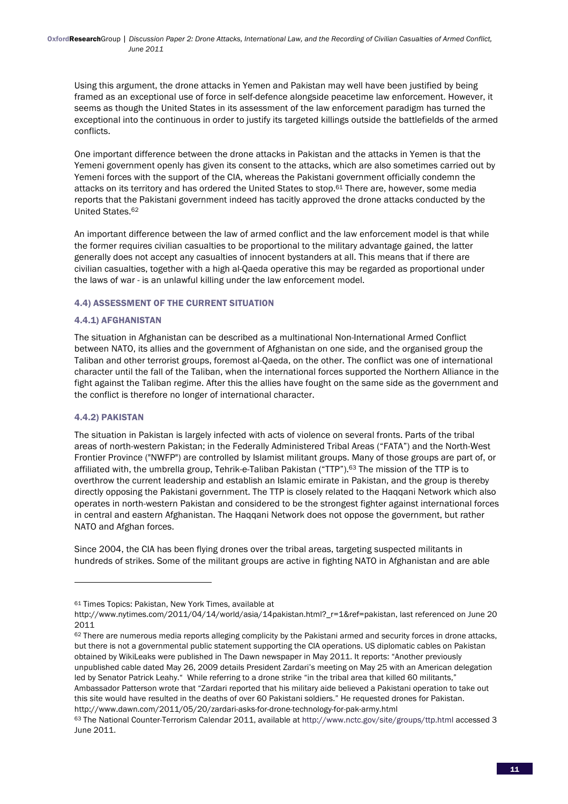Using this argument, the drone attacks in Yemen and Pakistan may well have been justified by being framed as an exceptional use of force in self-defence alongside peacetime law enforcement. However, it seems as though the United States in its assessment of the law enforcement paradigm has turned the exceptional into the continuous in order to justify its targeted killings outside the battlefields of the armed conflicts.

One important difference between the drone attacks in Pakistan and the attacks in Yemen is that the Yemeni government openly has given its consent to the attacks, which are also sometimes carried out by Yemeni forces with the support of the CIA, whereas the Pakistani government officially condemn the attacks on its territory and has ordered the United States to stop.61 There are, however, some media reports that the Pakistani government indeed has tacitly approved the drone attacks conducted by the United States.62

An important difference between the law of armed conflict and the law enforcement model is that while the former requires civilian casualties to be proportional to the military advantage gained, the latter generally does not accept any casualties of innocent bystanders at all. This means that if there are civilian casualties, together with a high al-Qaeda operative this may be regarded as proportional under the laws of war - is an unlawful killing under the law enforcement model.

## 4.4) ASSESSMENT OF THE CURRENT SITUATION

## 4.4.1) AFGHANISTAN

The situation in Afghanistan can be described as a multinational Non-International Armed Conflict between NATO, its allies and the government of Afghanistan on one side, and the organised group the Taliban and other terrorist groups, foremost al-Qaeda, on the other. The conflict was one of international character until the fall of the Taliban, when the international forces supported the Northern Alliance in the fight against the Taliban regime. After this the allies have fought on the same side as the government and the conflict is therefore no longer of international character.

## 4.4.2) PAKISTAN

The situation in Pakistan is largely infected with acts of violence on several fronts. Parts of the tribal areas of north-western Pakistan; in the Federally Administered Tribal Areas ("FATA") and the North-West Frontier Province ("NWFP") are controlled by Islamist militant groups. Many of those groups are part of, or affiliated with, the umbrella group, Tehrik-e-Taliban Pakistan ("TTP").63 The mission of the TTP is to overthrow the current leadership and establish an Islamic emirate in Pakistan, and the group is thereby directly opposing the Pakistani government. The TTP is closely related to the Haqqani Network which also operates in north-western Pakistan and considered to be the strongest fighter against international forces in central and eastern Afghanistan. The Haqqani Network does not oppose the government, but rather NATO and Afghan forces.

Since 2004, the CIA has been flying drones over the tribal areas, targeting suspected militants in hundreds of strikes. Some of the militant groups are active in fighting NATO in Afghanistan and are able

62 There are numerous media reports alleging complicity by the Pakistani armed and security forces in drone attacks, but there is not a governmental public statement supporting the CIA operations. US diplomatic cables on Pakistan obtained by WikiLeaks were published in The Dawn newspaper in May 2011. It reports: "Another previously unpublished cable dated May 26, 2009 details President Zardari's meeting on May 25 with an American delegation led by Senator Patrick Leahy." While referring to a drone strike "in the tribal area that killed 60 militants," Ambassador Patterson wrote that "Zardari reported that his military aide believed a Pakistani operation to take out

this site would have resulted in the deaths of over 60 Pakistani soldiers." He requested drones for Pakistan. http://www.dawn.com/2011/05/20/zardari-asks-for-drone-technology-for-pak-army.html

<sup>61</sup> Times Topics: Pakistan, New York Times, available at

http://www.nytimes.com/2011/04/14/world/asia/14pakistan.html?\_r=1&ref=pakistan, last referenced on June 20 2011

<sup>63</sup> The National Counter-Terrorism Calendar 2011, available at http://www.nctc.gov/site/groups/ttp.html accessed 3 June 2011.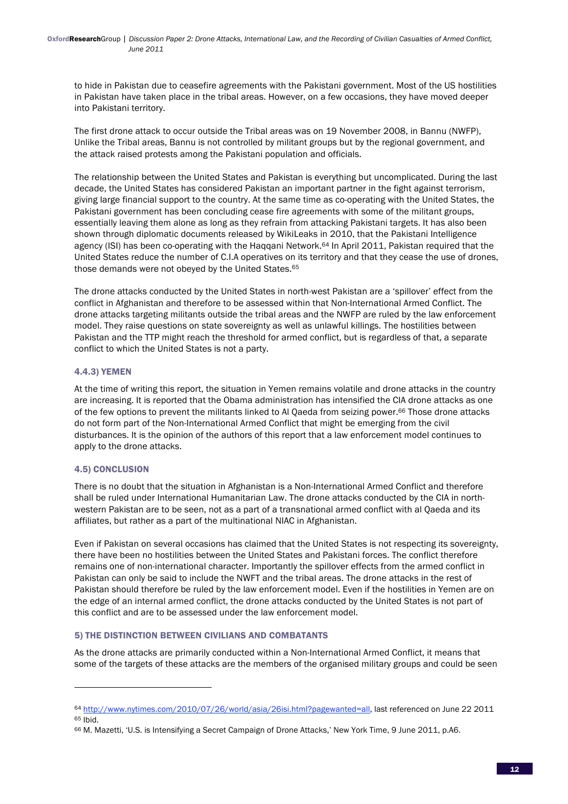to hide in Pakistan due to ceasefire agreements with the Pakistani government. Most of the US hostilities in Pakistan have taken place in the tribal areas. However, on a few occasions, they have moved deeper into Pakistani territory.

The first drone attack to occur outside the Tribal areas was on 19 November 2008, in Bannu (NWFP), Unlike the Tribal areas, Bannu is not controlled by militant groups but by the regional government, and the attack raised protests among the Pakistani population and officials.

The relationship between the United States and Pakistan is everything but uncomplicated. During the last decade, the United States has considered Pakistan an important partner in the fight against terrorism, giving large financial support to the country. At the same time as co-operating with the United States, the Pakistani government has been concluding cease fire agreements with some of the militant groups, essentially leaving them alone as long as they refrain from attacking Pakistani targets. It has also been shown through diplomatic documents released by WikiLeaks in 2010, that the Pakistani Intelligence agency (ISI) has been co-operating with the Haqqani Network.<sup>64</sup> In April 2011, Pakistan required that the United States reduce the number of C.I.A operatives on its territory and that they cease the use of drones, those demands were not obeyed by the United States.65

The drone attacks conducted by the United States in north-west Pakistan are a 'spillover' effect from the conflict in Afghanistan and therefore to be assessed within that Non-International Armed Conflict. The drone attacks targeting militants outside the tribal areas and the NWFP are ruled by the law enforcement model. They raise questions on state sovereignty as well as unlawful killings. The hostilities between Pakistan and the TTP might reach the threshold for armed conflict, but is regardless of that, a separate conflict to which the United States is not a party.

## 4.4.3) YEMEN

At the time of writing this report, the situation in Yemen remains volatile and drone attacks in the country are increasing. It is reported that the Obama administration has intensified the CIA drone attacks as one of the few options to prevent the militants linked to Al Qaeda from seizing power.66 Those drone attacks do not form part of the Non-International Armed Conflict that might be emerging from the civil disturbances. It is the opinion of the authors of this report that a law enforcement model continues to apply to the drone attacks.

# 4.5) CONCLUSION

There is no doubt that the situation in Afghanistan is a Non-International Armed Conflict and therefore shall be ruled under International Humanitarian Law. The drone attacks conducted by the CIA in northwestern Pakistan are to be seen, not as a part of a transnational armed conflict with al Qaeda and its affiliates, but rather as a part of the multinational NIAC in Afghanistan.

Even if Pakistan on several occasions has claimed that the United States is not respecting its sovereignty, there have been no hostilities between the United States and Pakistani forces. The conflict therefore remains one of non-international character. Importantly the spillover effects from the armed conflict in Pakistan can only be said to include the NWFT and the tribal areas. The drone attacks in the rest of Pakistan should therefore be ruled by the law enforcement model. Even if the hostilities in Yemen are on the edge of an internal armed conflict, the drone attacks conducted by the United States is not part of this conflict and are to be assessed under the law enforcement model.

# 5) THE DISTINCTION BETWEEN CIVILIANS AND COMBATANTS

<u> 1989 - Johann Stein, fransk politik (d. 1989)</u>

As the drone attacks are primarily conducted within a Non-International Armed Conflict, it means that some of the targets of these attacks are the members of the organised military groups and could be seen

<sup>64</sup> http://www.nytimes.com/2010/07/26/world/asia/26isi.html?pagewanted=all, last referenced on June 22 2011 65 Ibid.

<sup>66</sup> M. Mazetti, 'U.S. is Intensifying a Secret Campaign of Drone Attacks,' New York Time, 9 June 2011, p.A6.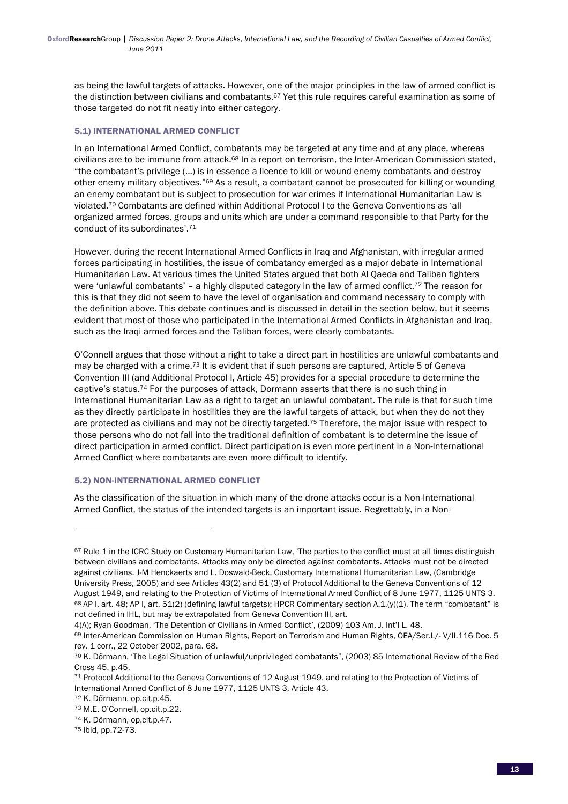as being the lawful targets of attacks. However, one of the major principles in the law of armed conflict is the distinction between civilians and combatants.67 Yet this rule requires careful examination as some of those targeted do not fit neatly into either category.

# 5.1) INTERNATIONAL ARMED CONFLICT

In an International Armed Conflict, combatants may be targeted at any time and at any place, whereas civilians are to be immune from attack.68 In a report on terrorism, the Inter-American Commission stated, "the combatant's privilege (...) is in essence a licence to kill or wound enemy combatants and destroy other enemy military objectives."69 As a result, a combatant cannot be prosecuted for killing or wounding an enemy combatant but is subject to prosecution for war crimes if International Humanitarian Law is violated.70 Combatants are defined within Additional Protocol I to the Geneva Conventions as 'all organized armed forces, groups and units which are under a command responsible to that Party for the conduct of its subordinates'.71

However, during the recent International Armed Conflicts in Iraq and Afghanistan, with irregular armed forces participating in hostilities, the issue of combatancy emerged as a major debate in International Humanitarian Law. At various times the United States argued that both Al Qaeda and Taliban fighters were 'unlawful combatants' - a highly disputed category in the law of armed conflict.<sup>72</sup> The reason for this is that they did not seem to have the level of organisation and command necessary to comply with the definition above. This debate continues and is discussed in detail in the section below, but it seems evident that most of those who participated in the International Armed Conflicts in Afghanistan and Iraq, such as the Iraqi armed forces and the Taliban forces, were clearly combatants.

O'Connell argues that those without a right to take a direct part in hostilities are unlawful combatants and may be charged with a crime.73 It is evident that if such persons are captured, Article 5 of Geneva Convention III (and Additional Protocol I, Article 45) provides for a special procedure to determine the captive's status.74 For the purposes of attack, Dormann asserts that there is no such thing in International Humanitarian Law as a right to target an unlawful combatant. The rule is that for such time as they directly participate in hostilities they are the lawful targets of attack, but when they do not they are protected as civilians and may not be directly targeted.<sup>75</sup> Therefore, the major issue with respect to those persons who do not fall into the traditional definition of combatant is to determine the issue of direct participation in armed conflict. Direct participation is even more pertinent in a Non-International Armed Conflict where combatants are even more difficult to identify.

# 5.2) NON-INTERNATIONAL ARMED CONFLICT

<u> 1989 - Johann Stein, fransk politik (d. 1989)</u>

As the classification of the situation in which many of the drone attacks occur is a Non-International Armed Conflict, the status of the intended targets is an important issue. Regrettably, in a Non-

 $67$  Rule 1 in the ICRC Study on Customary Humanitarian Law, 'The parties to the conflict must at all times distinguish between civilians and combatants. Attacks may only be directed against combatants. Attacks must not be directed against civilians. J-M Henckaerts and L. Doswald-Beck, Customary International Humanitarian Law, (Cambridge University Press, 2005) and see Articles 43(2) and 51 (3) of Protocol Additional to the Geneva Conventions of 12 August 1949, and relating to the Protection of Victims of International Armed Conflict of 8 June 1977, 1125 UNTS 3. 68 AP I, art. 48; AP I, art. 51(2) (defining lawful targets); HPCR Commentary section A.1.(y)(1). The term "combatant" is not defined in IHL, but may be extrapolated from Geneva Convention III, art.

<sup>4(</sup>A); Ryan Goodman, 'The Detention of Civilians in Armed Conflict', (2009) 103 Am. J. Int'l L. 48.

<sup>69</sup> Inter-American Commission on Human Rights, Report on Terrorism and Human Rights, OEA/Ser.L/- V/II.116 Doc. 5 rev. 1 corr., 22 October 2002, para. 68.

<sup>70</sup> K. Dőrmann, 'The Legal Situation of unlawful/unprivileged combatants", (2003) 85 International Review of the Red Cross 45, p.45.

<sup>71</sup> Protocol Additional to the Geneva Conventions of 12 August 1949, and relating to the Protection of Victims of International Armed Conflict of 8 June 1977, 1125 UNTS 3, Article 43.

<sup>72</sup> K. Dőrmann, op.cit.p.45.

<sup>73</sup> M.E. O'Connell, op.cit.p.22.

<sup>74</sup> K. Dőrmann, op.cit.p.47.

<sup>75</sup> Ibid, pp.72-73.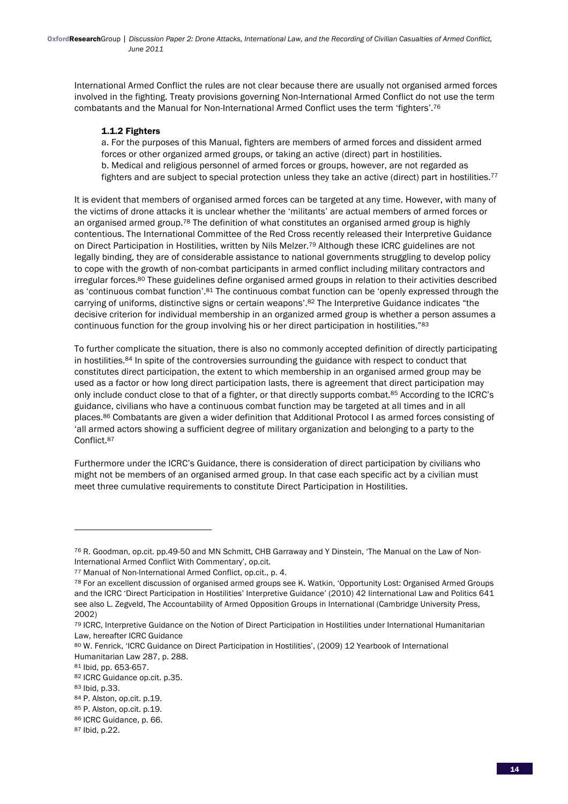International Armed Conflict the rules are not clear because there are usually not organised armed forces involved in the fighting. Treaty provisions governing Non-International Armed Conflict do not use the term combatants and the Manual for Non-International Armed Conflict uses the term 'fighters'.76

## 1.1.2 Fighters

a. For the purposes of this Manual, fighters are members of armed forces and dissident armed forces or other organized armed groups, or taking an active (direct) part in hostilities. b. Medical and religious personnel of armed forces or groups, however, are not regarded as fighters and are subject to special protection unless they take an active (direct) part in hostilities.<sup>77</sup>

It is evident that members of organised armed forces can be targeted at any time. However, with many of the victims of drone attacks it is unclear whether the 'militants' are actual members of armed forces or an organised armed group.<sup>78</sup> The definition of what constitutes an organised armed group is highly contentious. The International Committee of the Red Cross recently released their Interpretive Guidance on Direct Participation in Hostilities, written by Nils Melzer.<sup>79</sup> Although these ICRC guidelines are not legally binding, they are of considerable assistance to national governments struggling to develop policy to cope with the growth of non-combat participants in armed conflict including military contractors and irregular forces.80 These guidelines define organised armed groups in relation to their activities described as 'continuous combat function'.81 The continuous combat function can be 'openly expressed through the carrying of uniforms, distinctive signs or certain weapons'.82 The Interpretive Guidance indicates "the decisive criterion for individual membership in an organized armed group is whether a person assumes a continuous function for the group involving his or her direct participation in hostilities."83

To further complicate the situation, there is also no commonly accepted definition of directly participating in hostilities.84 In spite of the controversies surrounding the guidance with respect to conduct that constitutes direct participation, the extent to which membership in an organised armed group may be used as a factor or how long direct participation lasts, there is agreement that direct participation may only include conduct close to that of a fighter, or that directly supports combat.85 According to the ICRC's guidance, civilians who have a continuous combat function may be targeted at all times and in all places.86 Combatants are given a wider definition that Additional Protocol I as armed forces consisting of 'all armed actors showing a sufficient degree of military organization and belonging to a party to the Conflict.87

Furthermore under the ICRC's Guidance, there is consideration of direct participation by civilians who might not be members of an organised armed group. In that case each specific act by a civilian must meet three cumulative requirements to constitute Direct Participation in Hostilities.

<sup>76</sup> R. Goodman, op.cit. pp.49-50 and MN Schmitt, CHB Garraway and Y Dinstein, 'The Manual on the Law of Non-International Armed Conflict With Commentary', op.cit.

<sup>77</sup> Manual of Non-International Armed Conflict, op.cit., p. 4.

<sup>78</sup> For an excellent discussion of organised armed groups see K. Watkin, 'Opportunity Lost: Organised Armed Groups and the ICRC 'Direct Participation in Hostilities' Interpretive Guidance' (2010) 42 Iinternational Law and Politics 641 see also L. Zegveld, The Accountability of Armed Opposition Groups in International (Cambridge University Press, 2002)

<sup>79</sup> ICRC, Interpretive Guidance on the Notion of Direct Participation in Hostilities under International Humanitarian Law, hereafter ICRC Guidance

<sup>80</sup> W. Fenrick, 'ICRC Guidance on Direct Participation in Hostilities', (2009) 12 Yearbook of International Humanitarian Law 287, p. 288.

<sup>81</sup> Ibid, pp. 653-657.

<sup>82</sup> ICRC Guidance op.cit. p.35.

<sup>83</sup> Ibid, p.33.

<sup>84</sup> P. Alston, op.cit. p.19.

<sup>85</sup> P. Alston, op.cit. p.19.

<sup>86</sup> ICRC Guidance, p. 66.

<sup>87</sup> Ibid, p.22.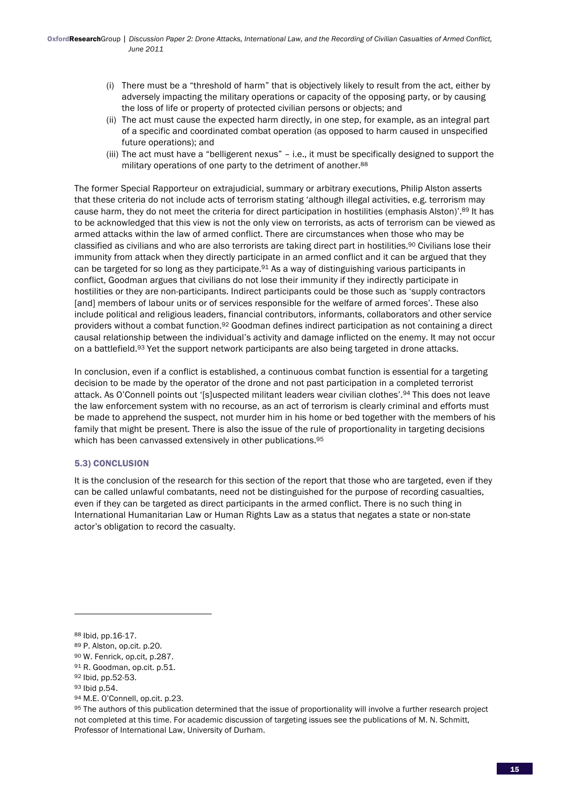- (i) There must be a "threshold of harm" that is objectively likely to result from the act, either by adversely impacting the military operations or capacity of the opposing party, or by causing the loss of life or property of protected civilian persons or objects; and
- (ii) The act must cause the expected harm directly, in one step, for example, as an integral part of a specific and coordinated combat operation (as opposed to harm caused in unspecified future operations); and
- (iii) The act must have a "belligerent nexus" i.e., it must be specifically designed to support the military operations of one party to the detriment of another.<sup>88</sup>

The former Special Rapporteur on extrajudicial, summary or arbitrary executions, Philip Alston asserts that these criteria do not include acts of terrorism stating 'although illegal activities, e.g. terrorism may cause harm, they do not meet the criteria for direct participation in hostilities (emphasis Alston)'.89 It has to be acknowledged that this view is not the only view on terrorists, as acts of terrorism can be viewed as armed attacks within the law of armed conflict. There are circumstances when those who may be classified as civilians and who are also terrorists are taking direct part in hostilities.90 Civilians lose their immunity from attack when they directly participate in an armed conflict and it can be argued that they can be targeted for so long as they participate.<sup>91</sup> As a way of distinguishing various participants in conflict, Goodman argues that civilians do not lose their immunity if they indirectly participate in hostilities or they are non-participants. Indirect participants could be those such as 'supply contractors [and] members of labour units or of services responsible for the welfare of armed forces'. These also include political and religious leaders, financial contributors, informants, collaborators and other service providers without a combat function.92 Goodman defines indirect participation as not containing a direct causal relationship between the individual's activity and damage inflicted on the enemy. It may not occur on a battlefield.<sup>93</sup> Yet the support network participants are also being targeted in drone attacks.

In conclusion, even if a conflict is established, a continuous combat function is essential for a targeting decision to be made by the operator of the drone and not past participation in a completed terrorist attack. As O'Connell points out '[s]uspected militant leaders wear civilian clothes'.94 This does not leave the law enforcement system with no recourse, as an act of terrorism is clearly criminal and efforts must be made to apprehend the suspect, not murder him in his home or bed together with the members of his family that might be present. There is also the issue of the rule of proportionality in targeting decisions which has been canvassed extensively in other publications.<sup>95</sup>

## 5.3) CONCLUSION

It is the conclusion of the research for this section of the report that those who are targeted, even if they can be called unlawful combatants, need not be distinguished for the purpose of recording casualties, even if they can be targeted as direct participants in the armed conflict. There is no such thing in International Humanitarian Law or Human Rights Law as a status that negates a state or non-state actor's obligation to record the casualty.

<sup>88</sup> Ibid, pp.16-17.

<sup>89</sup> P. Alston, op.cit. p.20.

<sup>90</sup> W. Fenrick, op.cit, p.287.

<sup>91</sup> R. Goodman, op.cit. p.51.

<sup>92</sup> Ibid, pp.52-53.

<sup>93</sup> Ibid p.54.

<sup>94</sup> M.E. O'Connell, op.cit. p.23.

<sup>95</sup> The authors of this publication determined that the issue of proportionality will involve a further research project not completed at this time. For academic discussion of targeting issues see the publications of M. N. Schmitt, Professor of International Law, University of Durham.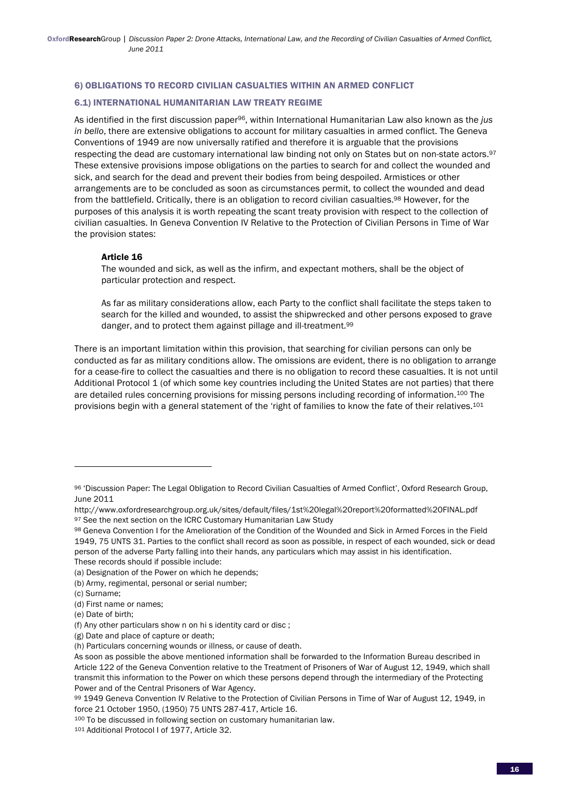#### 6) OBLIGATIONS TO RECORD CIVILIAN CASUALTIES WITHIN AN ARMED CONFLICT

#### 6.1) INTERNATIONAL HUMANITARIAN LAW TREATY REGIME

As identified in the first discussion paper96, within International Humanitarian Law also known as the *jus in bello*, there are extensive obligations to account for military casualties in armed conflict. The Geneva Conventions of 1949 are now universally ratified and therefore it is arguable that the provisions respecting the dead are customary international law binding not only on States but on non-state actors.<sup>97</sup> These extensive provisions impose obligations on the parties to search for and collect the wounded and sick, and search for the dead and prevent their bodies from being despoiled. Armistices or other arrangements are to be concluded as soon as circumstances permit, to collect the wounded and dead from the battlefield. Critically, there is an obligation to record civilian casualties.<sup>98</sup> However, for the purposes of this analysis it is worth repeating the scant treaty provision with respect to the collection of civilian casualties. In Geneva Convention IV Relative to the Protection of Civilian Persons in Time of War the provision states:

#### Article 16

The wounded and sick, as well as the infirm, and expectant mothers, shall be the object of particular protection and respect.

As far as military considerations allow, each Party to the conflict shall facilitate the steps taken to search for the killed and wounded, to assist the shipwrecked and other persons exposed to grave danger, and to protect them against pillage and ill-treatment.99

There is an important limitation within this provision, that searching for civilian persons can only be conducted as far as military conditions allow. The omissions are evident, there is no obligation to arrange for a cease-fire to collect the casualties and there is no obligation to record these casualties. It is not until Additional Protocol 1 (of which some key countries including the United States are not parties) that there are detailed rules concerning provisions for missing persons including recording of information.100 The provisions begin with a general statement of the 'right of families to know the fate of their relatives.<sup>101</sup>

These records should if possible include:

<sup>96 &#</sup>x27;Discussion Paper: The Legal Obligation to Record Civilian Casualties of Armed Conflict', Oxford Research Group, June 2011

http://www.oxfordresearchgroup.org.uk/sites/default/files/1st%20legal%20report%20formatted%20FINAL.pdf 97 See the next section on the ICRC Customary Humanitarian Law Study

<sup>98</sup> Geneva Convention I for the Amelioration of the Condition of the Wounded and Sick in Armed Forces in the Field 1949, 75 UNTS 31. Parties to the conflict shall record as soon as possible, in respect of each wounded, sick or dead person of the adverse Party falling into their hands, any particulars which may assist in his identification.

<sup>(</sup>a) Designation of the Power on which he depends;

<sup>(</sup>b) Army, regimental, personal or serial number;

<sup>(</sup>c) Surname;

<sup>(</sup>d) First name or names;

<sup>(</sup>e) Date of birth;

<sup>(</sup>f) Any other particulars show n on hi s identity card or disc ;

<sup>(</sup>g) Date and place of capture or death;

<sup>(</sup>h) Particulars concerning wounds or illness, or cause of death.

As soon as possible the above mentioned information shall be forwarded to the Information Bureau described in Article 122 of the Geneva Convention relative to the Treatment of Prisoners of War of August 12, 1949, which shall transmit this information to the Power on which these persons depend through the intermediary of the Protecting Power and of the Central Prisoners of War Agency.

<sup>99 1949</sup> Geneva Convention IV Relative to the Protection of Civilian Persons in Time of War of August 12, 1949, in force 21 October 1950, (1950) 75 UNTS 287-417, Article 16.

<sup>100</sup> To be discussed in following section on customary humanitarian law.

<sup>101</sup> Additional Protocol I of 1977, Article 32.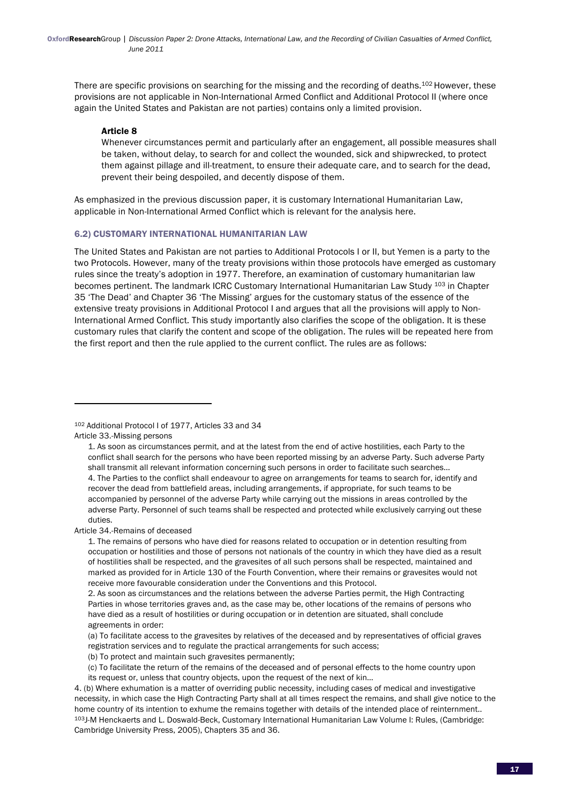There are specific provisions on searching for the missing and the recording of deaths.<sup>102</sup> However, these provisions are not applicable in Non-International Armed Conflict and Additional Protocol II (where once again the United States and Pakistan are not parties) contains only a limited provision.

#### Article 8

Whenever circumstances permit and particularly after an engagement, all possible measures shall be taken, without delay, to search for and collect the wounded, sick and shipwrecked, to protect them against pillage and ill-treatment, to ensure their adequate care, and to search for the dead, prevent their being despoiled, and decently dispose of them.

As emphasized in the previous discussion paper, it is customary International Humanitarian Law, applicable in Non-International Armed Conflict which is relevant for the analysis here.

#### 6.2) CUSTOMARY INTERNATIONAL HUMANITARIAN LAW

The United States and Pakistan are not parties to Additional Protocols I or II, but Yemen is a party to the two Protocols. However, many of the treaty provisions within those protocols have emerged as customary rules since the treaty's adoption in 1977. Therefore, an examination of customary humanitarian law becomes pertinent. The landmark ICRC Customary International Humanitarian Law Study 103 in Chapter 35 'The Dead' and Chapter 36 'The Missing' argues for the customary status of the essence of the extensive treaty provisions in Additional Protocol I and argues that all the provisions will apply to Non-International Armed Conflict. This study importantly also clarifies the scope of the obligation. It is these customary rules that clarify the content and scope of the obligation. The rules will be repeated here from the first report and then the rule applied to the current conflict. The rules are as follows:

<u> 1989 - Johann Stein, fransk politik (d. 1989)</u>

Article 34.-Remains of deceased

<sup>102</sup> Additional Protocol I of 1977, Articles 33 and 34 Article 33.-Missing persons

<sup>1.</sup> As soon as circumstances permit, and at the latest from the end of active hostilities, each Party to the conflict shall search for the persons who have been reported missing by an adverse Party. Such adverse Party shall transmit all relevant information concerning such persons in order to facilitate such searches… 4. The Parties to the conflict shall endeavour to agree on arrangements for teams to search for, identify and recover the dead from battlefield areas, including arrangements, if appropriate, for such teams to be accompanied by personnel of the adverse Party while carrying out the missions in areas controlled by the adverse Party. Personnel of such teams shall be respected and protected while exclusively carrying out these duties.

<sup>1.</sup> The remains of persons who have died for reasons related to occupation or in detention resulting from occupation or hostilities and those of persons not nationals of the country in which they have died as a result of hostilities shall be respected, and the gravesites of all such persons shall be respected, maintained and marked as provided for in Article 130 of the Fourth Convention, where their remains or gravesites would not receive more favourable consideration under the Conventions and this Protocol.

<sup>2.</sup> As soon as circumstances and the relations between the adverse Parties permit, the High Contracting Parties in whose territories graves and, as the case may be, other locations of the remains of persons who have died as a result of hostilities or during occupation or in detention are situated, shall conclude agreements in order:

<sup>(</sup>a) To facilitate access to the gravesites by relatives of the deceased and by representatives of official graves registration services and to regulate the practical arrangements for such access;

<sup>(</sup>b) To protect and maintain such gravesites permanently;

<sup>(</sup>c) To facilitate the return of the remains of the deceased and of personal effects to the home country upon its request or, unless that country objects, upon the request of the next of kin…

<sup>4. (</sup>b) Where exhumation is a matter of overriding public necessity, including cases of medical and investigative necessity, in which case the High Contracting Party shall at all times respect the remains, and shall give notice to the home country of its intention to exhume the remains together with details of the intended place of reinternment.. 103J-M Henckaerts and L. Doswald-Beck, Customary International Humanitarian Law Volume I: Rules, (Cambridge: Cambridge University Press, 2005), Chapters 35 and 36.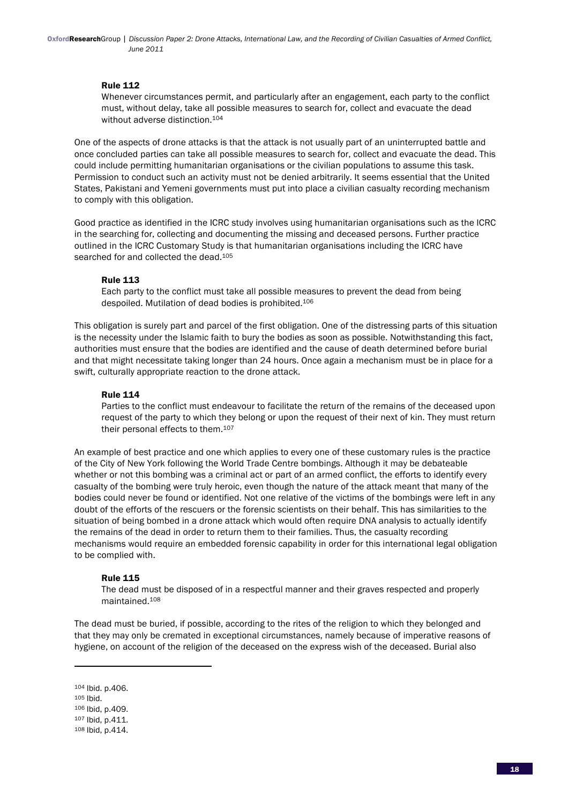OxfordResearchGroup | *Discussion Paper 2: Drone Attacks, International Law, and the Recording of Civilian Casualties of Armed Conflict, June 2011*

#### Rule 112

Whenever circumstances permit, and particularly after an engagement, each party to the conflict must, without delay, take all possible measures to search for, collect and evacuate the dead without adverse distinction.104

One of the aspects of drone attacks is that the attack is not usually part of an uninterrupted battle and once concluded parties can take all possible measures to search for, collect and evacuate the dead. This could include permitting humanitarian organisations or the civilian populations to assume this task. Permission to conduct such an activity must not be denied arbitrarily. It seems essential that the United States, Pakistani and Yemeni governments must put into place a civilian casualty recording mechanism to comply with this obligation.

Good practice as identified in the ICRC study involves using humanitarian organisations such as the ICRC in the searching for, collecting and documenting the missing and deceased persons. Further practice outlined in the ICRC Customary Study is that humanitarian organisations including the ICRC have searched for and collected the dead.<sup>105</sup>

#### Rule 113

Each party to the conflict must take all possible measures to prevent the dead from being despoiled. Mutilation of dead bodies is prohibited.106

This obligation is surely part and parcel of the first obligation. One of the distressing parts of this situation is the necessity under the Islamic faith to bury the bodies as soon as possible. Notwithstanding this fact, authorities must ensure that the bodies are identified and the cause of death determined before burial and that might necessitate taking longer than 24 hours. Once again a mechanism must be in place for a swift, culturally appropriate reaction to the drone attack.

#### Rule 114

Parties to the conflict must endeavour to facilitate the return of the remains of the deceased upon request of the party to which they belong or upon the request of their next of kin. They must return their personal effects to them.107

An example of best practice and one which applies to every one of these customary rules is the practice of the City of New York following the World Trade Centre bombings. Although it may be debateable whether or not this bombing was a criminal act or part of an armed conflict, the efforts to identify every casualty of the bombing were truly heroic, even though the nature of the attack meant that many of the bodies could never be found or identified. Not one relative of the victims of the bombings were left in any doubt of the efforts of the rescuers or the forensic scientists on their behalf. This has similarities to the situation of being bombed in a drone attack which would often require DNA analysis to actually identify the remains of the dead in order to return them to their families. Thus, the casualty recording mechanisms would require an embedded forensic capability in order for this international legal obligation to be complied with.

## Rule 115

<u> 1989 - Johann Stein, fransk politik (d. 1989)</u>

The dead must be disposed of in a respectful manner and their graves respected and properly maintained.108

The dead must be buried, if possible, according to the rites of the religion to which they belonged and that they may only be cremated in exceptional circumstances, namely because of imperative reasons of hygiene, on account of the religion of the deceased on the express wish of the deceased. Burial also

<sup>104</sup> Ibid. p.406.

<sup>105</sup> Ibid.

<sup>106</sup> Ibid, p.409.

<sup>107</sup> Ibid, p.411.

<sup>108</sup> Ibid, p.414.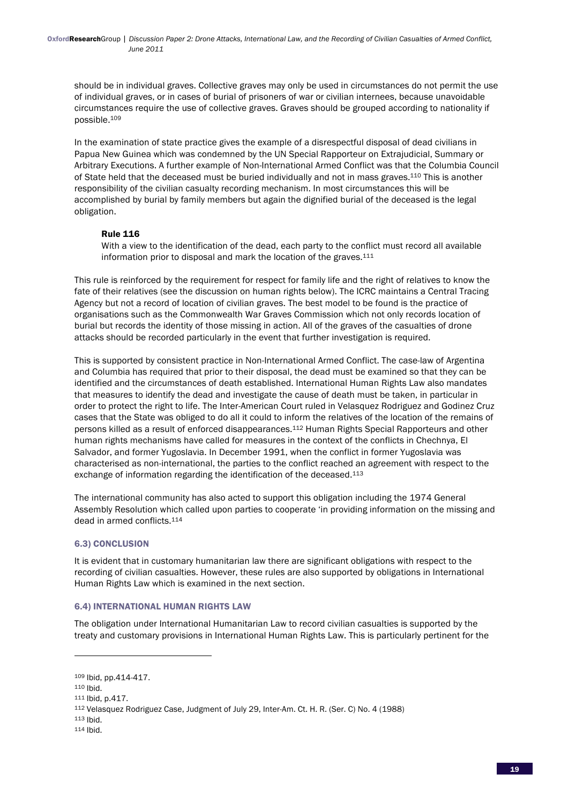should be in individual graves. Collective graves may only be used in circumstances do not permit the use of individual graves, or in cases of burial of prisoners of war or civilian internees, because unavoidable circumstances require the use of collective graves. Graves should be grouped according to nationality if possible.109

In the examination of state practice gives the example of a disrespectful disposal of dead civilians in Papua New Guinea which was condemned by the UN Special Rapporteur on Extrajudicial, Summary or Arbitrary Executions. A further example of Non-International Armed Conflict was that the Columbia Council of State held that the deceased must be buried individually and not in mass graves.110 This is another responsibility of the civilian casualty recording mechanism. In most circumstances this will be accomplished by burial by family members but again the dignified burial of the deceased is the legal obligation.

## Rule 116

With a view to the identification of the dead, each party to the conflict must record all available information prior to disposal and mark the location of the graves.<sup>111</sup>

This rule is reinforced by the requirement for respect for family life and the right of relatives to know the fate of their relatives (see the discussion on human rights below). The ICRC maintains a Central Tracing Agency but not a record of location of civilian graves. The best model to be found is the practice of organisations such as the Commonwealth War Graves Commission which not only records location of burial but records the identity of those missing in action. All of the graves of the casualties of drone attacks should be recorded particularly in the event that further investigation is required.

This is supported by consistent practice in Non-International Armed Conflict. The case-law of Argentina and Columbia has required that prior to their disposal, the dead must be examined so that they can be identified and the circumstances of death established. International Human Rights Law also mandates that measures to identify the dead and investigate the cause of death must be taken, in particular in order to protect the right to life. The Inter-American Court ruled in Velasquez Rodriguez and Godinez Cruz cases that the State was obliged to do all it could to inform the relatives of the location of the remains of persons killed as a result of enforced disappearances.112 Human Rights Special Rapporteurs and other human rights mechanisms have called for measures in the context of the conflicts in Chechnya, El Salvador, and former Yugoslavia. In December 1991, when the conflict in former Yugoslavia was characterised as non-international, the parties to the conflict reached an agreement with respect to the exchange of information regarding the identification of the deceased.113

The international community has also acted to support this obligation including the 1974 General Assembly Resolution which called upon parties to cooperate 'in providing information on the missing and dead in armed conflicts.114

## 6.3) CONCLUSION

It is evident that in customary humanitarian law there are significant obligations with respect to the recording of civilian casualties. However, these rules are also supported by obligations in International Human Rights Law which is examined in the next section.

## 6.4) INTERNATIONAL HUMAN RIGHTS LAW

<u> 1989 - Johann Stein, fransk politik (d. 1989)</u>

The obligation under International Humanitarian Law to record civilian casualties is supported by the treaty and customary provisions in International Human Rights Law. This is particularly pertinent for the

<sup>109</sup> Ibid, pp.414-417.

<sup>110</sup> Ibid.

<sup>111</sup> Ibid, p.417.

<sup>112</sup> Velasquez Rodriguez Case, Judgment of July 29, Inter-Am. Ct. H. R. (Ser. C) No. 4 (1988)

<sup>113</sup> Ibid.

<sup>114</sup> Ibid.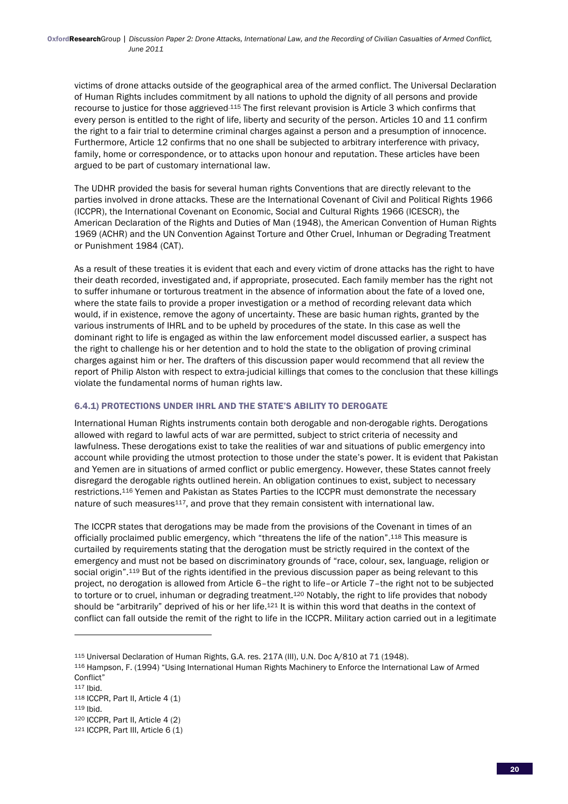victims of drone attacks outside of the geographical area of the armed conflict. The Universal Declaration of Human Rights includes commitment by all nations to uphold the dignity of all persons and provide recourse to justice for those aggrieved.115 The first relevant provision is Article 3 which confirms that every person is entitled to the right of life, liberty and security of the person. Articles 10 and 11 confirm the right to a fair trial to determine criminal charges against a person and a presumption of innocence. Furthermore, Article 12 confirms that no one shall be subjected to arbitrary interference with privacy, family, home or correspondence, or to attacks upon honour and reputation. These articles have been argued to be part of customary international law.

The UDHR provided the basis for several human rights Conventions that are directly relevant to the parties involved in drone attacks. These are the International Covenant of Civil and Political Rights 1966 (ICCPR), the International Covenant on Economic, Social and Cultural Rights 1966 (ICESCR), the American Declaration of the Rights and Duties of Man (1948), the American Convention of Human Rights 1969 (ACHR) and the UN Convention Against Torture and Other Cruel, Inhuman or Degrading Treatment or Punishment 1984 (CAT).

As a result of these treaties it is evident that each and every victim of drone attacks has the right to have their death recorded, investigated and, if appropriate, prosecuted. Each family member has the right not to suffer inhumane or torturous treatment in the absence of information about the fate of a loved one, where the state fails to provide a proper investigation or a method of recording relevant data which would, if in existence, remove the agony of uncertainty. These are basic human rights, granted by the various instruments of IHRL and to be upheld by procedures of the state. In this case as well the dominant right to life is engaged as within the law enforcement model discussed earlier, a suspect has the right to challenge his or her detention and to hold the state to the obligation of proving criminal charges against him or her. The drafters of this discussion paper would recommend that all review the report of Philip Alston with respect to extra-judicial killings that comes to the conclusion that these killings violate the fundamental norms of human rights law.

## 6.4.1) PROTECTIONS UNDER IHRL AND THE STATE'S ABILITY TO DEROGATE

International Human Rights instruments contain both derogable and non-derogable rights. Derogations allowed with regard to lawful acts of war are permitted, subject to strict criteria of necessity and lawfulness. These derogations exist to take the realities of war and situations of public emergency into account while providing the utmost protection to those under the state's power. It is evident that Pakistan and Yemen are in situations of armed conflict or public emergency. However, these States cannot freely disregard the derogable rights outlined herein. An obligation continues to exist, subject to necessary restrictions.116 Yemen and Pakistan as States Parties to the ICCPR must demonstrate the necessary nature of such measures117, and prove that they remain consistent with international law.

The ICCPR states that derogations may be made from the provisions of the Covenant in times of an officially proclaimed public emergency, which "threatens the life of the nation".118 This measure is curtailed by requirements stating that the derogation must be strictly required in the context of the emergency and must not be based on discriminatory grounds of "race, colour, sex, language, religion or social origin".<sup>119</sup> But of the rights identified in the previous discussion paper as being relevant to this project, no derogation is allowed from Article 6–the right to life–or Article 7–the right not to be subjected to torture or to cruel, inhuman or degrading treatment.<sup>120</sup> Notably, the right to life provides that nobody should be "arbitrarily" deprived of his or her life.121 It is within this word that deaths in the context of conflict can fall outside the remit of the right to life in the ICCPR. Military action carried out in a legitimate

118 ICCPR, Part II, Article 4 (1)

<sup>115</sup> Universal Declaration of Human Rights, G.A. res. 217A (III), U.N. Doc A/810 at 71 (1948).

<sup>116</sup> Hampson, F. (1994) "Using International Human Rights Machinery to Enforce the International Law of Armed Conflict"

<sup>117</sup> Ibid.

<sup>119</sup> Ibid.

<sup>120</sup> ICCPR, Part II, Article 4 (2)

<sup>121</sup> ICCPR, Part III, Article 6 (1)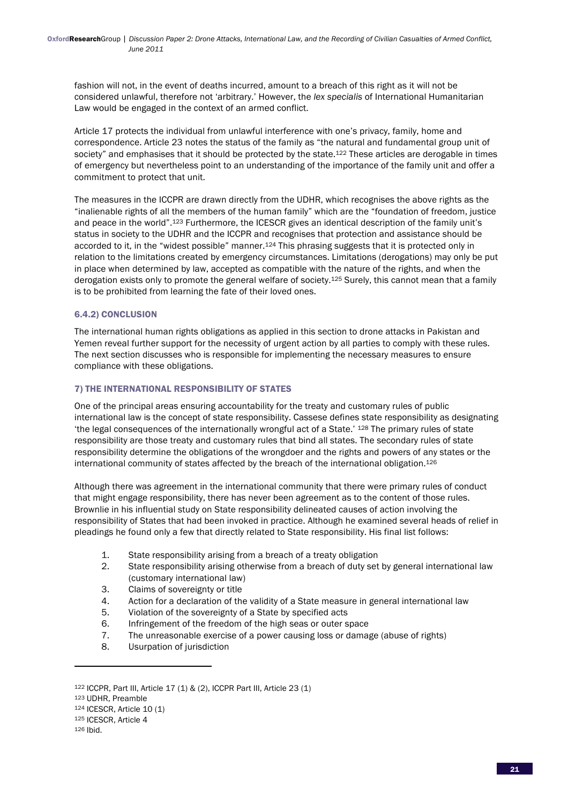fashion will not, in the event of deaths incurred, amount to a breach of this right as it will not be considered unlawful, therefore not 'arbitrary.' However, the *lex specialis* of International Humanitarian Law would be engaged in the context of an armed conflict.

Article 17 protects the individual from unlawful interference with one's privacy, family, home and correspondence. Article 23 notes the status of the family as "the natural and fundamental group unit of society" and emphasises that it should be protected by the state.<sup>122</sup> These articles are derogable in times of emergency but nevertheless point to an understanding of the importance of the family unit and offer a commitment to protect that unit.

The measures in the ICCPR are drawn directly from the UDHR, which recognises the above rights as the "inalienable rights of all the members of the human family" which are the "foundation of freedom, justice and peace in the world".123 Furthermore, the ICESCR gives an identical description of the family unit's status in society to the UDHR and the ICCPR and recognises that protection and assistance should be accorded to it, in the "widest possible" manner.<sup>124</sup> This phrasing suggests that it is protected only in relation to the limitations created by emergency circumstances. Limitations (derogations) may only be put in place when determined by law, accepted as compatible with the nature of the rights, and when the derogation exists only to promote the general welfare of society.<sup>125</sup> Surely, this cannot mean that a family is to be prohibited from learning the fate of their loved ones.

## 6.4.2) CONCLUSION

The international human rights obligations as applied in this section to drone attacks in Pakistan and Yemen reveal further support for the necessity of urgent action by all parties to comply with these rules. The next section discusses who is responsible for implementing the necessary measures to ensure compliance with these obligations.

## 7) THE INTERNATIONAL RESPONSIBILITY OF STATES

One of the principal areas ensuring accountability for the treaty and customary rules of public international law is the concept of state responsibility. Cassese defines state responsibility as designating 'the legal consequences of the internationally wrongful act of a State.' 128 The primary rules of state responsibility are those treaty and customary rules that bind all states. The secondary rules of state responsibility determine the obligations of the wrongdoer and the rights and powers of any states or the international community of states affected by the breach of the international obligation.126

Although there was agreement in the international community that there were primary rules of conduct that might engage responsibility, there has never been agreement as to the content of those rules. Brownlie in his influential study on State responsibility delineated causes of action involving the responsibility of States that had been invoked in practice. Although he examined several heads of relief in pleadings he found only a few that directly related to State responsibility. His final list follows:

- 1. State responsibility arising from a breach of a treaty obligation
- 2. State responsibility arising otherwise from a breach of duty set by general international law (customary international law)
- 3. Claims of sovereignty or title
- 4. Action for a declaration of the validity of a State measure in general international law
- 5. Violation of the sovereignty of a State by specified acts
- 6. Infringement of the freedom of the high seas or outer space
- 7. The unreasonable exercise of a power causing loss or damage (abuse of rights)
- 8. Usurpation of jurisdiction

<sup>122</sup> ICCPR, Part III, Article 17 (1) & (2), ICCPR Part III, Article 23 (1)

<sup>123</sup> UDHR, Preamble

<sup>124</sup> ICESCR, Article 10 (1)

<sup>125</sup> ICESCR, Article 4

<sup>126</sup> Ibid.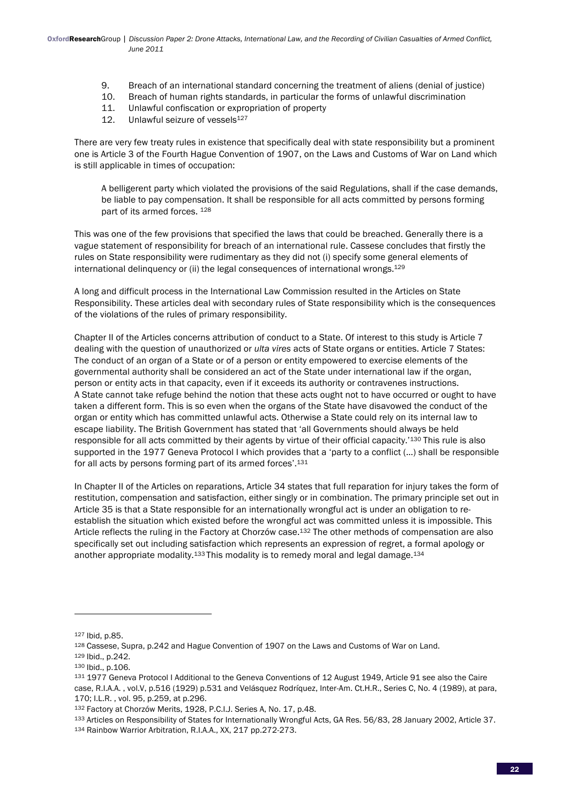- 9. Breach of an international standard concerning the treatment of aliens (denial of justice)
- 10. Breach of human rights standards, in particular the forms of unlawful discrimination
- 11. Unlawful confiscation or expropriation of property
- 12. Unlawful seizure of vessels<sup>127</sup>

There are very few treaty rules in existence that specifically deal with state responsibility but a prominent one is Article 3 of the Fourth Hague Convention of 1907, on the Laws and Customs of War on Land which is still applicable in times of occupation:

A belligerent party which violated the provisions of the said Regulations, shall if the case demands, be liable to pay compensation. It shall be responsible for all acts committed by persons forming part of its armed forces. 128

This was one of the few provisions that specified the laws that could be breached. Generally there is a vague statement of responsibility for breach of an international rule. Cassese concludes that firstly the rules on State responsibility were rudimentary as they did not (i) specify some general elements of international delinquency or (ii) the legal consequences of international wrongs.129

A long and difficult process in the International Law Commission resulted in the Articles on State Responsibility. These articles deal with secondary rules of State responsibility which is the consequences of the violations of the rules of primary responsibility.

Chapter II of the Articles concerns attribution of conduct to a State. Of interest to this study is Article 7 dealing with the question of unauthorized or *ulta vires* acts of State organs or entities. Article 7 States: The conduct of an organ of a State or of a person or entity empowered to exercise elements of the governmental authority shall be considered an act of the State under international law if the organ, person or entity acts in that capacity, even if it exceeds its authority or contravenes instructions. A State cannot take refuge behind the notion that these acts ought not to have occurred or ought to have taken a different form. This is so even when the organs of the State have disavowed the conduct of the organ or entity which has committed unlawful acts. Otherwise a State could rely on its internal law to escape liability. The British Government has stated that 'all Governments should always be held responsible for all acts committed by their agents by virtue of their official capacity.'130 This rule is also supported in the 1977 Geneva Protocol I which provides that a 'party to a conflict (…) shall be responsible for all acts by persons forming part of its armed forces'.131

In Chapter II of the Articles on reparations, Article 34 states that full reparation for injury takes the form of restitution, compensation and satisfaction, either singly or in combination. The primary principle set out in Article 35 is that a State responsible for an internationally wrongful act is under an obligation to reestablish the situation which existed before the wrongful act was committed unless it is impossible. This Article reflects the ruling in the Factory at Chorzów case.132 The other methods of compensation are also specifically set out including satisfaction which represents an expression of regret, a formal apology or another appropriate modality.<sup>133</sup> This modality is to remedy moral and legal damage.<sup>134</sup>

<sup>127</sup> Ibid, p.85.

<sup>128</sup> Cassese, Supra, p.242 and Hague Convention of 1907 on the Laws and Customs of War on Land.

<sup>129</sup> Ibid., p.242.

<sup>130</sup> Ibid., p.106.

<sup>131</sup> 1977 Geneva Protocol I Additional to the Geneva Conventions of 12 August 1949, Article 91 see also the Caire case, R.I.A.A. , vol.V, p.516 (1929) p.531 and Velásquez Rodríquez, Inter-Am. Ct.H.R., Series C, No. 4 (1989), at para, 170; I.L.R. , vol. 95, p.259, at p.296.

<sup>132</sup> Factory at Chorzów Merits, 1928, P.C.I.J. Series A, No. 17, p.48.

<sup>133</sup> Articles on Responsibility of States for Internationally Wrongful Acts, GA Res. 56/83, 28 January 2002, Article 37.

<sup>134</sup> Rainbow Warrior Arbitration, R.I.A.A., XX, 217 pp.272-273.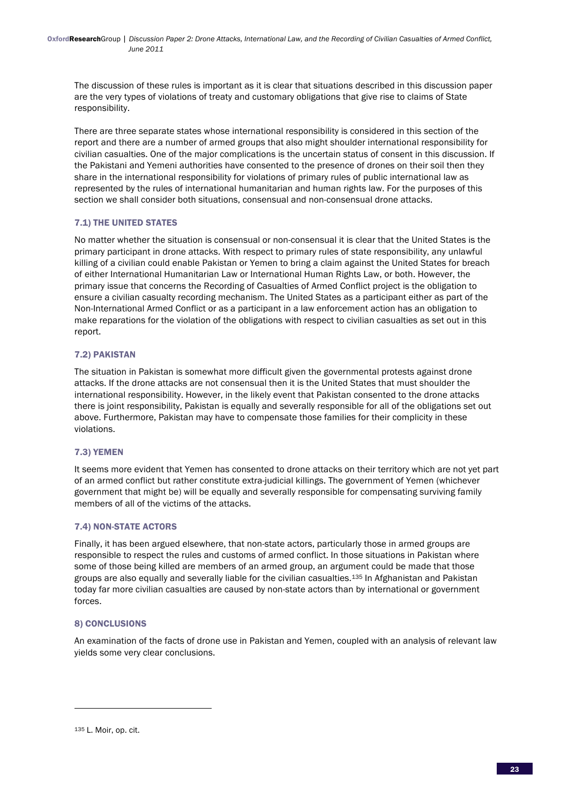The discussion of these rules is important as it is clear that situations described in this discussion paper are the very types of violations of treaty and customary obligations that give rise to claims of State responsibility.

There are three separate states whose international responsibility is considered in this section of the report and there are a number of armed groups that also might shoulder international responsibility for civilian casualties. One of the major complications is the uncertain status of consent in this discussion. If the Pakistani and Yemeni authorities have consented to the presence of drones on their soil then they share in the international responsibility for violations of primary rules of public international law as represented by the rules of international humanitarian and human rights law. For the purposes of this section we shall consider both situations, consensual and non-consensual drone attacks.

# 7.1) THE UNITED STATES

No matter whether the situation is consensual or non-consensual it is clear that the United States is the primary participant in drone attacks. With respect to primary rules of state responsibility, any unlawful killing of a civilian could enable Pakistan or Yemen to bring a claim against the United States for breach of either International Humanitarian Law or International Human Rights Law, or both. However, the primary issue that concerns the Recording of Casualties of Armed Conflict project is the obligation to ensure a civilian casualty recording mechanism. The United States as a participant either as part of the Non-International Armed Conflict or as a participant in a law enforcement action has an obligation to make reparations for the violation of the obligations with respect to civilian casualties as set out in this report.

## 7.2) PAKISTAN

The situation in Pakistan is somewhat more difficult given the governmental protests against drone attacks. If the drone attacks are not consensual then it is the United States that must shoulder the international responsibility. However, in the likely event that Pakistan consented to the drone attacks there is joint responsibility, Pakistan is equally and severally responsible for all of the obligations set out above. Furthermore, Pakistan may have to compensate those families for their complicity in these violations.

# 7.3) YEMEN

It seems more evident that Yemen has consented to drone attacks on their territory which are not yet part of an armed conflict but rather constitute extra-judicial killings. The government of Yemen (whichever government that might be) will be equally and severally responsible for compensating surviving family members of all of the victims of the attacks.

## 7.4) NON-STATE ACTORS

Finally, it has been argued elsewhere, that non-state actors, particularly those in armed groups are responsible to respect the rules and customs of armed conflict. In those situations in Pakistan where some of those being killed are members of an armed group, an argument could be made that those groups are also equally and severally liable for the civilian casualties.<sup>135</sup> In Afghanistan and Pakistan today far more civilian casualties are caused by non-state actors than by international or government forces.

## 8) CONCLUSIONS

An examination of the facts of drone use in Pakistan and Yemen, coupled with an analysis of relevant law yields some very clear conclusions.

<sup>135</sup> L. Moir, op. cit.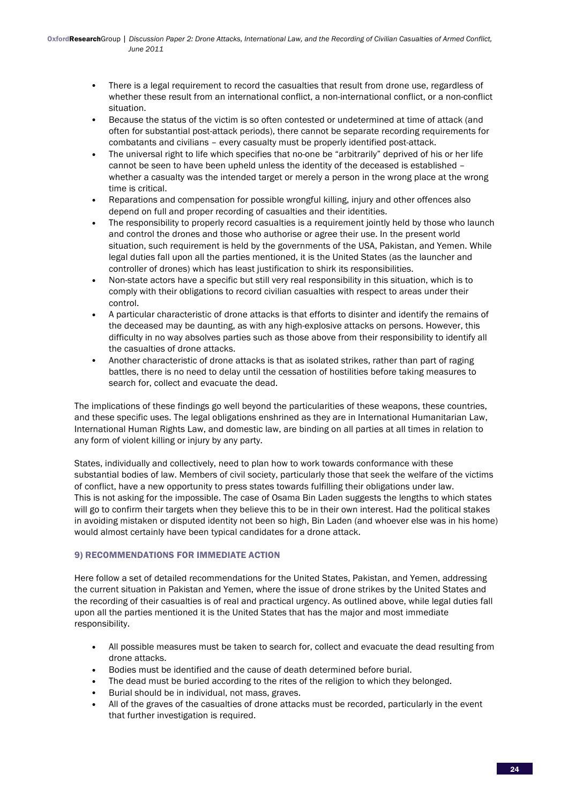- There is a legal requirement to record the casualties that result from drone use, regardless of whether these result from an international conflict, a non-international conflict, or a non-conflict situation.
- Because the status of the victim is so often contested or undetermined at time of attack (and often for substantial post-attack periods), there cannot be separate recording requirements for combatants and civilians – every casualty must be properly identified post-attack.
- The universal right to life which specifies that no-one be "arbitrarily" deprived of his or her life cannot be seen to have been upheld unless the identity of the deceased is established – whether a casualty was the intended target or merely a person in the wrong place at the wrong time is critical.
- Reparations and compensation for possible wrongful killing, injury and other offences also depend on full and proper recording of casualties and their identities.
- The responsibility to properly record casualties is a requirement jointly held by those who launch and control the drones and those who authorise or agree their use. In the present world situation, such requirement is held by the governments of the USA, Pakistan, and Yemen. While legal duties fall upon all the parties mentioned, it is the United States (as the launcher and controller of drones) which has least justification to shirk its responsibilities.
- Non-state actors have a specific but still very real responsibility in this situation, which is to comply with their obligations to record civilian casualties with respect to areas under their control.
- A particular characteristic of drone attacks is that efforts to disinter and identify the remains of the deceased may be daunting, as with any high-explosive attacks on persons. However, this difficulty in no way absolves parties such as those above from their responsibility to identify all the casualties of drone attacks.
- Another characteristic of drone attacks is that as isolated strikes, rather than part of raging battles, there is no need to delay until the cessation of hostilities before taking measures to search for, collect and evacuate the dead.

The implications of these findings go well beyond the particularities of these weapons, these countries, and these specific uses. The legal obligations enshrined as they are in International Humanitarian Law, International Human Rights Law, and domestic law, are binding on all parties at all times in relation to any form of violent killing or injury by any party.

States, individually and collectively, need to plan how to work towards conformance with these substantial bodies of law. Members of civil society, particularly those that seek the welfare of the victims of conflict, have a new opportunity to press states towards fulfilling their obligations under law. This is not asking for the impossible. The case of Osama Bin Laden suggests the lengths to which states will go to confirm their targets when they believe this to be in their own interest. Had the political stakes in avoiding mistaken or disputed identity not been so high, Bin Laden (and whoever else was in his home) would almost certainly have been typical candidates for a drone attack.

# 9) RECOMMENDATIONS FOR IMMEDIATE ACTION

Here follow a set of detailed recommendations for the United States, Pakistan, and Yemen, addressing the current situation in Pakistan and Yemen, where the issue of drone strikes by the United States and the recording of their casualties is of real and practical urgency. As outlined above, while legal duties fall upon all the parties mentioned it is the United States that has the major and most immediate responsibility.

- All possible measures must be taken to search for, collect and evacuate the dead resulting from drone attacks.
- Bodies must be identified and the cause of death determined before burial.
- The dead must be buried according to the rites of the religion to which they belonged.
- Burial should be in individual, not mass, graves.
- All of the graves of the casualties of drone attacks must be recorded, particularly in the event that further investigation is required.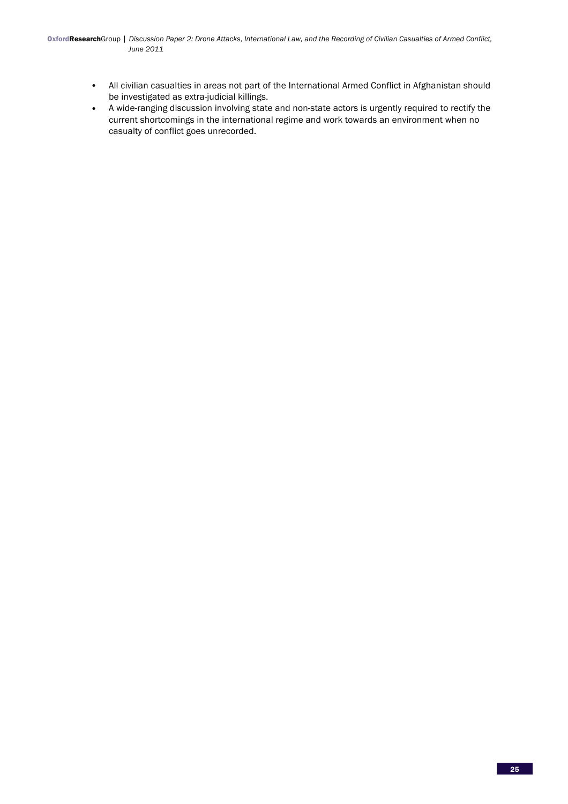- All civilian casualties in areas not part of the International Armed Conflict in Afghanistan should be investigated as extra-judicial killings.
- A wide-ranging discussion involving state and non-state actors is urgently required to rectify the current shortcomings in the international regime and work towards an environment when no casualty of conflict goes unrecorded.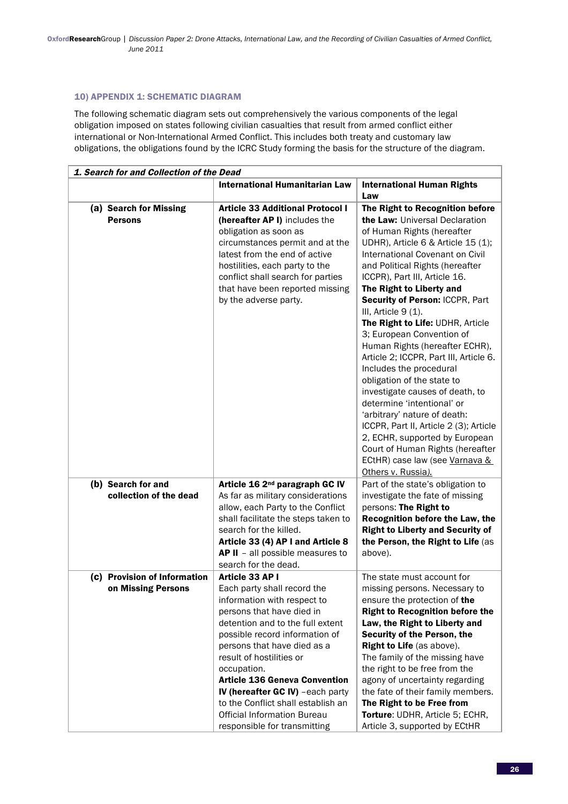## 10) APPENDIX 1: SCHEMATIC DIAGRAM

The following schematic diagram sets out comprehensively the various components of the legal obligation imposed on states following civilian casualties that result from armed conflict either international or Non-International Armed Conflict. This includes both treaty and customary law obligations, the obligations found by the ICRC Study forming the basis for the structure of the diagram.

| 1. Search for and Collection of the Dead |                                                                                                                                                                                                                                                               |                                                                                                                                                                                                                                                                                                                                                                                                                                                                                                                                                                                                                                                                                                                                                                                |  |  |
|------------------------------------------|---------------------------------------------------------------------------------------------------------------------------------------------------------------------------------------------------------------------------------------------------------------|--------------------------------------------------------------------------------------------------------------------------------------------------------------------------------------------------------------------------------------------------------------------------------------------------------------------------------------------------------------------------------------------------------------------------------------------------------------------------------------------------------------------------------------------------------------------------------------------------------------------------------------------------------------------------------------------------------------------------------------------------------------------------------|--|--|
|                                          | <b>International Humanitarian Law</b>                                                                                                                                                                                                                         | <b>International Human Rights</b>                                                                                                                                                                                                                                                                                                                                                                                                                                                                                                                                                                                                                                                                                                                                              |  |  |
|                                          |                                                                                                                                                                                                                                                               | Law                                                                                                                                                                                                                                                                                                                                                                                                                                                                                                                                                                                                                                                                                                                                                                            |  |  |
| (a) Search for Missing                   | <b>Article 33 Additional Protocol I</b>                                                                                                                                                                                                                       | The Right to Recognition before                                                                                                                                                                                                                                                                                                                                                                                                                                                                                                                                                                                                                                                                                                                                                |  |  |
| <b>Persons</b>                           | (hereafter AP I) includes the<br>obligation as soon as<br>circumstances permit and at the<br>latest from the end of active<br>hostilities, each party to the<br>conflict shall search for parties<br>that have been reported missing<br>by the adverse party. | the Law: Universal Declaration<br>of Human Rights (hereafter<br>UDHR), Article 6 & Article 15 (1);<br>International Covenant on Civil<br>and Political Rights (hereafter<br>ICCPR), Part III, Article 16.<br>The Right to Liberty and<br>Security of Person: ICCPR, Part<br>III, Article 9 (1).<br>The Right to Life: UDHR, Article<br>3; European Convention of<br>Human Rights (hereafter ECHR),<br>Article 2; ICCPR, Part III, Article 6.<br>Includes the procedural<br>obligation of the state to<br>investigate causes of death, to<br>determine 'intentional' or<br>'arbitrary' nature of death:<br>ICCPR, Part II, Article 2 (3); Article<br>2, ECHR, supported by European<br>Court of Human Rights (hereafter<br>ECtHR) case law (see Varnava &<br>Others v. Russia). |  |  |
| (b) Search for and                       | Article 16 2 <sup>nd</sup> paragraph GC IV                                                                                                                                                                                                                    | Part of the state's obligation to                                                                                                                                                                                                                                                                                                                                                                                                                                                                                                                                                                                                                                                                                                                                              |  |  |
| collection of the dead                   | As far as military considerations                                                                                                                                                                                                                             | investigate the fate of missing                                                                                                                                                                                                                                                                                                                                                                                                                                                                                                                                                                                                                                                                                                                                                |  |  |
|                                          | allow, each Party to the Conflict                                                                                                                                                                                                                             | persons: The Right to                                                                                                                                                                                                                                                                                                                                                                                                                                                                                                                                                                                                                                                                                                                                                          |  |  |
|                                          | shall facilitate the steps taken to                                                                                                                                                                                                                           | Recognition before the Law, the                                                                                                                                                                                                                                                                                                                                                                                                                                                                                                                                                                                                                                                                                                                                                |  |  |
|                                          | search for the killed.                                                                                                                                                                                                                                        | <b>Right to Liberty and Security of</b>                                                                                                                                                                                                                                                                                                                                                                                                                                                                                                                                                                                                                                                                                                                                        |  |  |
|                                          | Article 33 (4) AP I and Article 8<br>AP II - all possible measures to                                                                                                                                                                                         | the Person, the Right to Life (as<br>above).                                                                                                                                                                                                                                                                                                                                                                                                                                                                                                                                                                                                                                                                                                                                   |  |  |
|                                          | search for the dead.                                                                                                                                                                                                                                          |                                                                                                                                                                                                                                                                                                                                                                                                                                                                                                                                                                                                                                                                                                                                                                                |  |  |
| (c) Provision of Information             | Article 33 AP I                                                                                                                                                                                                                                               | The state must account for                                                                                                                                                                                                                                                                                                                                                                                                                                                                                                                                                                                                                                                                                                                                                     |  |  |
| on Missing Persons                       | Each party shall record the                                                                                                                                                                                                                                   | missing persons. Necessary to                                                                                                                                                                                                                                                                                                                                                                                                                                                                                                                                                                                                                                                                                                                                                  |  |  |
|                                          | information with respect to                                                                                                                                                                                                                                   | ensure the protection of the                                                                                                                                                                                                                                                                                                                                                                                                                                                                                                                                                                                                                                                                                                                                                   |  |  |
|                                          | persons that have died in                                                                                                                                                                                                                                     | <b>Right to Recognition before the</b>                                                                                                                                                                                                                                                                                                                                                                                                                                                                                                                                                                                                                                                                                                                                         |  |  |
|                                          | detention and to the full extent                                                                                                                                                                                                                              | Law, the Right to Liberty and                                                                                                                                                                                                                                                                                                                                                                                                                                                                                                                                                                                                                                                                                                                                                  |  |  |
|                                          | possible record information of                                                                                                                                                                                                                                | Security of the Person, the                                                                                                                                                                                                                                                                                                                                                                                                                                                                                                                                                                                                                                                                                                                                                    |  |  |
|                                          | persons that have died as a<br>result of hostilities or                                                                                                                                                                                                       | Right to Life (as above).<br>The family of the missing have                                                                                                                                                                                                                                                                                                                                                                                                                                                                                                                                                                                                                                                                                                                    |  |  |
|                                          | occupation.                                                                                                                                                                                                                                                   | the right to be free from the                                                                                                                                                                                                                                                                                                                                                                                                                                                                                                                                                                                                                                                                                                                                                  |  |  |
|                                          | <b>Article 136 Geneva Convention</b>                                                                                                                                                                                                                          | agony of uncertainty regarding                                                                                                                                                                                                                                                                                                                                                                                                                                                                                                                                                                                                                                                                                                                                                 |  |  |
|                                          | IV (hereafter GC IV) -each party                                                                                                                                                                                                                              | the fate of their family members.                                                                                                                                                                                                                                                                                                                                                                                                                                                                                                                                                                                                                                                                                                                                              |  |  |
|                                          | to the Conflict shall establish an                                                                                                                                                                                                                            | The Right to be Free from                                                                                                                                                                                                                                                                                                                                                                                                                                                                                                                                                                                                                                                                                                                                                      |  |  |
|                                          | <b>Official Information Bureau</b>                                                                                                                                                                                                                            | Torture: UDHR, Article 5; ECHR,                                                                                                                                                                                                                                                                                                                                                                                                                                                                                                                                                                                                                                                                                                                                                |  |  |
|                                          | responsible for transmitting                                                                                                                                                                                                                                  | Article 3, supported by ECtHR                                                                                                                                                                                                                                                                                                                                                                                                                                                                                                                                                                                                                                                                                                                                                  |  |  |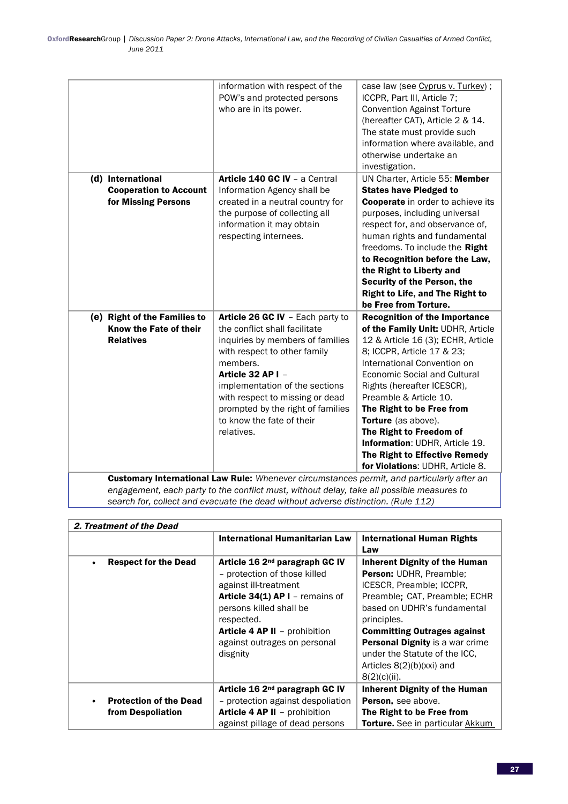|                                                                                            | information with respect of the<br>POW's and protected persons<br>who are in its power.                                                                                                                                                                | case law (see Cyprus v. Turkey);<br>ICCPR, Part III, Article 7;<br><b>Convention Against Torture</b><br>(hereafter CAT), Article 2 & 14.<br>The state must provide such<br>information where available, and<br>otherwise undertake an<br>investigation.                                                                                                                              |
|--------------------------------------------------------------------------------------------|--------------------------------------------------------------------------------------------------------------------------------------------------------------------------------------------------------------------------------------------------------|--------------------------------------------------------------------------------------------------------------------------------------------------------------------------------------------------------------------------------------------------------------------------------------------------------------------------------------------------------------------------------------|
| (d) International                                                                          | Article 140 GC IV - a Central                                                                                                                                                                                                                          | UN Charter, Article 55: Member                                                                                                                                                                                                                                                                                                                                                       |
| <b>Cooperation to Account</b>                                                              | Information Agency shall be                                                                                                                                                                                                                            | <b>States have Pledged to</b>                                                                                                                                                                                                                                                                                                                                                        |
| for Missing Persons                                                                        | created in a neutral country for<br>the purpose of collecting all<br>information it may obtain<br>respecting internees.                                                                                                                                | <b>Cooperate</b> in order to achieve its<br>purposes, including universal<br>respect for, and observance of,<br>human rights and fundamental<br>freedoms. To include the Right<br>to Recognition before the Law,<br>the Right to Liberty and<br>Security of the Person, the<br><b>Right to Life, and The Right to</b><br>be Free from Torture.                                       |
| (e) Right of the Families to                                                               | Article 26 GC IV - Each party to                                                                                                                                                                                                                       | <b>Recognition of the Importance</b>                                                                                                                                                                                                                                                                                                                                                 |
| Know the Fate of their                                                                     | the conflict shall facilitate                                                                                                                                                                                                                          | of the Family Unit: UDHR, Article                                                                                                                                                                                                                                                                                                                                                    |
| <b>Relatives</b>                                                                           | inquiries by members of families<br>with respect to other family<br>members.<br>Article 32 AP I -<br>implementation of the sections<br>with respect to missing or dead<br>prompted by the right of families<br>to know the fate of their<br>relatives. | 12 & Article 16 (3); ECHR, Article<br>8; ICCPR, Article 17 & 23;<br>International Convention on<br>Economic Social and Cultural<br>Rights (hereafter ICESCR),<br>Preamble & Article 10.<br>The Right to be Free from<br>Torture (as above).<br>The Right to Freedom of<br><b>Information: UDHR, Article 19.</b><br>The Right to Effective Remedy<br>for Violations: UDHR, Article 8. |
| Customary International Law Rule: Whenever circumstances permit, and particularly after an |                                                                                                                                                                                                                                                        |                                                                                                                                                                                                                                                                                                                                                                                      |
|                                                                                            |                                                                                                                                                                                                                                                        |                                                                                                                                                                                                                                                                                                                                                                                      |

*search for, collect and evacuate the dead without adverse distinction. (Rule 112)*

| 2. Treatment of the Dead                 |                                                                                                                                                                                                                                                              |                                                                                                                                                                                                                                                                                                                                                      |
|------------------------------------------|--------------------------------------------------------------------------------------------------------------------------------------------------------------------------------------------------------------------------------------------------------------|------------------------------------------------------------------------------------------------------------------------------------------------------------------------------------------------------------------------------------------------------------------------------------------------------------------------------------------------------|
|                                          | International Humanitarian Law                                                                                                                                                                                                                               | International Human Rights<br>Law                                                                                                                                                                                                                                                                                                                    |
| <b>Respect for the Dead</b><br>$\bullet$ | Article 16 2 <sup>nd</sup> paragraph GC IV<br>- protection of those killed<br>against ill-treatment<br>Article 34(1) AP I - remains of<br>persons killed shall be<br>respected.<br>Article 4 AP II - prohibition<br>against outrages on personal<br>disgnity | <b>Inherent Dignity of the Human</b><br><b>Person: UDHR, Preamble:</b><br>ICESCR, Preamble; ICCPR,<br>Preamble: CAT, Preamble: ECHR<br>based on UDHR's fundamental<br>principles.<br><b>Committing Outrages against</b><br><b>Personal Dignity</b> is a war crime<br>under the Statute of the ICC.<br>Articles $8(2)(b)(xxi)$ and<br>$8(2)(c)(ii)$ . |
| <b>Protection of the Dead</b>            | Article 16 2 <sup>nd</sup> paragraph GC IV<br>- protection against despoliation                                                                                                                                                                              | <b>Inherent Dignity of the Human</b><br>Person, see above.                                                                                                                                                                                                                                                                                           |
| from Despoliation                        | Article 4 AP II - prohibition<br>against pillage of dead persons                                                                                                                                                                                             | The Right to be Free from<br><b>Torture.</b> See in particular Akkum                                                                                                                                                                                                                                                                                 |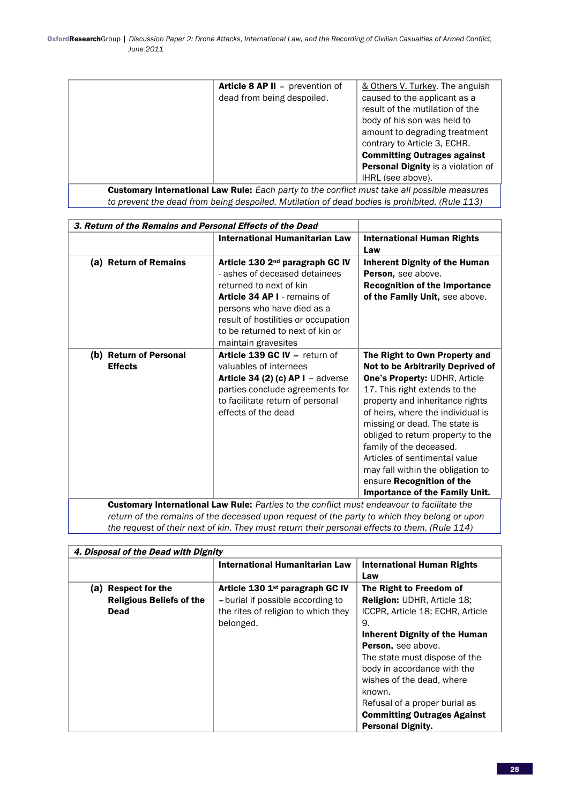|                                                                                              | <b>Article 8 AP II - prevention of</b> | & Others V. Turkey. The anguish    |
|----------------------------------------------------------------------------------------------|----------------------------------------|------------------------------------|
|                                                                                              | dead from being despoiled.             | caused to the applicant as a       |
|                                                                                              |                                        | result of the mutilation of the    |
|                                                                                              |                                        | body of his son was held to        |
|                                                                                              |                                        | amount to degrading treatment      |
|                                                                                              |                                        | contrary to Article 3, ECHR.       |
|                                                                                              |                                        | <b>Committing Outrages against</b> |
|                                                                                              |                                        | Personal Dignity is a violation of |
|                                                                                              |                                        | IHRL (see above).                  |
| Customary International Law Rule: Each party to the conflict must take all possible measures |                                        |                                    |

Customary International Law Rule: *Each party to the conflict must take all possible measures to prevent the dead from being despoiled. Mutilation of dead bodies is prohibited. (Rule 113)*

| 3. Return of the Remains and Personal Effects of the Dead                                         |                                                                                                                                                                                                                                                                         |                                                                                                                                                                                                                                                                                                                                                                                                                                                           |
|---------------------------------------------------------------------------------------------------|-------------------------------------------------------------------------------------------------------------------------------------------------------------------------------------------------------------------------------------------------------------------------|-----------------------------------------------------------------------------------------------------------------------------------------------------------------------------------------------------------------------------------------------------------------------------------------------------------------------------------------------------------------------------------------------------------------------------------------------------------|
|                                                                                                   | International Humanitarian Law                                                                                                                                                                                                                                          | <b>International Human Rights</b><br>Law                                                                                                                                                                                                                                                                                                                                                                                                                  |
| (a) Return of Remains                                                                             | Article 130 2 <sup>nd</sup> paragraph GC IV<br>- ashes of deceased detainees<br>returned to next of kin<br>Article 34 AP I - remains of<br>persons who have died as a<br>result of hostilities or occupation<br>to be returned to next of kin or<br>maintain gravesites | <b>Inherent Dignity of the Human</b><br>Person, see above.<br><b>Recognition of the Importance</b><br>of the Family Unit, see above.                                                                                                                                                                                                                                                                                                                      |
| (b) Return of Personal<br><b>Effects</b>                                                          | Article 139 GC IV - return of<br>valuables of internees<br><b>Article 34 (2) (c) AP I</b> - adverse<br>parties conclude agreements for<br>to facilitate return of personal<br>effects of the dead                                                                       | The Right to Own Property and<br>Not to be Arbitrarily Deprived of<br><b>One's Property: UDHR, Article</b><br>17. This right extends to the<br>property and inheritance rights<br>of heirs, where the individual is<br>missing or dead. The state is<br>obliged to return property to the<br>family of the deceased.<br>Articles of sentimental value<br>may fall within the obligation to<br>ensure Recognition of the<br>Importance of the Family Unit. |
| <b>Customary International Law Rule:</b> Parties to the conflict must endeavour to facilitate the |                                                                                                                                                                                                                                                                         |                                                                                                                                                                                                                                                                                                                                                                                                                                                           |

*return of the remains of the deceased upon request of the party to which they belong or upon the request of their next of kin. They must return their personal effects to them. (Rule 114)* 

| 4. Disposal of the Dead with Dignity |                                     |                                      |
|--------------------------------------|-------------------------------------|--------------------------------------|
|                                      | International Humanitarian Law      | <b>International Human Rights</b>    |
|                                      |                                     | Law                                  |
| <b>Respect for the</b><br>(a)        | Article 130 1st paragraph GC IV     | The Right to Freedom of              |
| <b>Religious Beliefs of the</b>      | - burial if possible according to   | <b>Religion: UDHR, Article 18;</b>   |
| Dead                                 | the rites of religion to which they | ICCPR, Article 18; ECHR, Article     |
|                                      | belonged.                           | 9.                                   |
|                                      |                                     | <b>Inherent Dignity of the Human</b> |
|                                      |                                     | Person, see above.                   |
|                                      |                                     | The state must dispose of the        |
|                                      |                                     | body in accordance with the          |
|                                      |                                     | wishes of the dead, where            |
|                                      |                                     | known.                               |
|                                      |                                     | Refusal of a proper burial as        |
|                                      |                                     | <b>Committing Outrages Against</b>   |
|                                      |                                     | <b>Personal Dignity.</b>             |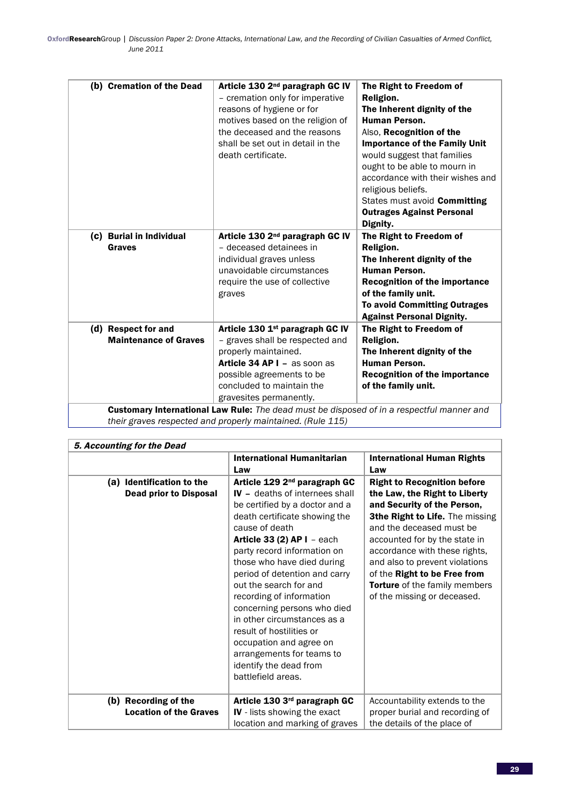| (b) Cremation of the Dead                           | Article 130 2 <sup>nd</sup> paragraph GC IV<br>- cremation only for imperative<br>reasons of hygiene or for<br>motives based on the religion of<br>the deceased and the reasons<br>shall be set out in detail in the<br>death certificate. | The Right to Freedom of<br>Religion.<br>The Inherent dignity of the<br><b>Human Person.</b><br>Also, Recognition of the<br><b>Importance of the Family Unit</b><br>would suggest that families<br>ought to be able to mourn in<br>accordance with their wishes and<br>religious beliefs.<br>States must avoid <b>Committing</b><br><b>Outrages Against Personal</b><br>Dignity. |
|-----------------------------------------------------|--------------------------------------------------------------------------------------------------------------------------------------------------------------------------------------------------------------------------------------------|---------------------------------------------------------------------------------------------------------------------------------------------------------------------------------------------------------------------------------------------------------------------------------------------------------------------------------------------------------------------------------|
| (c) Burial in Individual<br><b>Graves</b>           | Article 130 2 <sup>nd</sup> paragraph GC IV<br>- deceased detainees in<br>individual graves unless<br>unavoidable circumstances<br>require the use of collective<br>graves                                                                 | The Right to Freedom of<br><b>Religion.</b><br>The Inherent dignity of the<br><b>Human Person.</b><br><b>Recognition of the importance</b><br>of the family unit.<br><b>To avoid Committing Outrages</b><br><b>Against Personal Dignity.</b>                                                                                                                                    |
| (d) Respect for and<br><b>Maintenance of Graves</b> | Article 130 1st paragraph GC IV<br>- graves shall be respected and<br>properly maintained.<br>Article 34 AP I - as soon as<br>possible agreements to be<br>concluded to maintain the<br>gravesites permanently.                            | The Right to Freedom of<br>Religion.<br>The Inherent dignity of the<br><b>Human Person.</b><br><b>Recognition of the importance</b><br>of the family unit.                                                                                                                                                                                                                      |
|                                                     | <b>Customary International Law Rule:</b> The dead must be disposed of in a respectful manner and                                                                                                                                           |                                                                                                                                                                                                                                                                                                                                                                                 |

*their graves respected and properly maintained. (Rule 115)*

| 5. Accounting for the Dead                                 |                                                                                                                                                                                                                                                                                                                                                                                                                                                                                                                                                              |                                                                                                                                                                                                                                                                                                                                                                       |
|------------------------------------------------------------|--------------------------------------------------------------------------------------------------------------------------------------------------------------------------------------------------------------------------------------------------------------------------------------------------------------------------------------------------------------------------------------------------------------------------------------------------------------------------------------------------------------------------------------------------------------|-----------------------------------------------------------------------------------------------------------------------------------------------------------------------------------------------------------------------------------------------------------------------------------------------------------------------------------------------------------------------|
|                                                            | <b>International Humanitarian</b><br>Law                                                                                                                                                                                                                                                                                                                                                                                                                                                                                                                     | <b>International Human Rights</b><br>Law                                                                                                                                                                                                                                                                                                                              |
| (a) Identification to the<br><b>Dead prior to Disposal</b> | Article 129 2 <sup>nd</sup> paragraph GC<br><b>IV</b> - deaths of internees shall<br>be certified by a doctor and a<br>death certificate showing the<br>cause of death<br>Article 33 (2) AP $I$ - each<br>party record information on<br>those who have died during<br>period of detention and carry<br>out the search for and<br>recording of information<br>concerning persons who died<br>in other circumstances as a<br>result of hostilities or<br>occupation and agree on<br>arrangements for teams to<br>identify the dead from<br>battlefield areas. | <b>Right to Recognition before</b><br>the Law, the Right to Liberty<br>and Security of the Person,<br>3the Right to Life. The missing<br>and the deceased must be<br>accounted for by the state in<br>accordance with these rights,<br>and also to prevent violations<br>of the Right to be Free from<br>Torture of the family members<br>of the missing or deceased. |
| (b) Recording of the<br><b>Location of the Graves</b>      | Article 130 3rd paragraph GC<br>IV - lists showing the exact<br>location and marking of graves                                                                                                                                                                                                                                                                                                                                                                                                                                                               | Accountability extends to the<br>proper burial and recording of<br>the details of the place of                                                                                                                                                                                                                                                                        |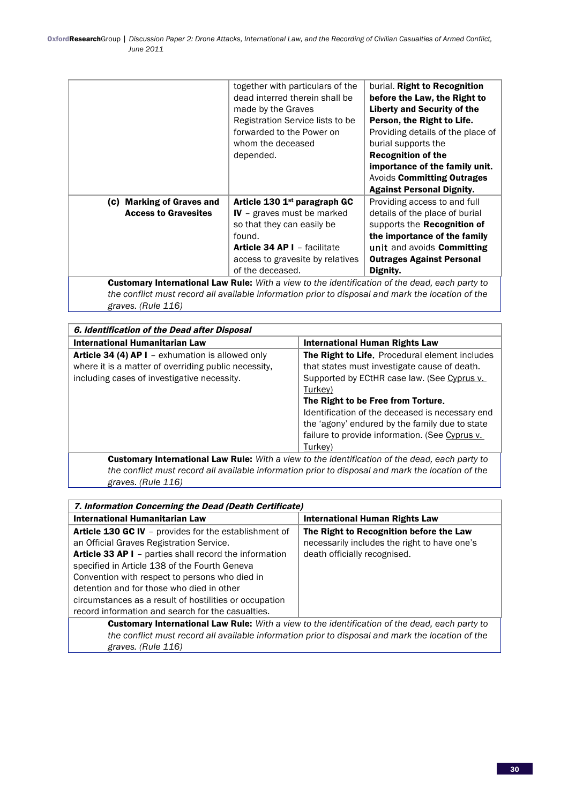|                                                                                                       | together with particulars of the<br>dead interred therein shall be<br>made by the Graves<br>Registration Service lists to be<br>forwarded to the Power on<br>whom the deceased<br>depended. | burial. Right to Recognition<br>before the Law, the Right to<br><b>Liberty and Security of the</b><br>Person, the Right to Life.<br>Providing details of the place of<br>burial supports the<br><b>Recognition of the</b><br>importance of the family unit.<br><b>Avoids Committing Outrages</b><br><b>Against Personal Dignity.</b> |
|-------------------------------------------------------------------------------------------------------|---------------------------------------------------------------------------------------------------------------------------------------------------------------------------------------------|--------------------------------------------------------------------------------------------------------------------------------------------------------------------------------------------------------------------------------------------------------------------------------------------------------------------------------------|
| (c) Marking of Graves and                                                                             | Article 130 1st paragraph GC                                                                                                                                                                | Providing access to and full                                                                                                                                                                                                                                                                                                         |
| <b>Access to Gravesites</b>                                                                           | IV - graves must be marked                                                                                                                                                                  | details of the place of burial                                                                                                                                                                                                                                                                                                       |
|                                                                                                       | so that they can easily be                                                                                                                                                                  | supports the <b>Recognition of</b>                                                                                                                                                                                                                                                                                                   |
|                                                                                                       | found.                                                                                                                                                                                      | the importance of the family                                                                                                                                                                                                                                                                                                         |
|                                                                                                       | <b>Article 34 AP I - facilitate</b>                                                                                                                                                         | unit and avoids Committing                                                                                                                                                                                                                                                                                                           |
|                                                                                                       | access to gravesite by relatives                                                                                                                                                            | <b>Outrages Against Personal</b>                                                                                                                                                                                                                                                                                                     |
|                                                                                                       | of the deceased.                                                                                                                                                                            | Dignity.                                                                                                                                                                                                                                                                                                                             |
| <b>Customary International Law Rule:</b> With a view to the identification of the dead, each party to |                                                                                                                                                                                             |                                                                                                                                                                                                                                                                                                                                      |
|                                                                                                       |                                                                                                                                                                                             |                                                                                                                                                                                                                                                                                                                                      |

*the conflict must record all available information prior to disposal and mark the location of the graves. (Rule 116)* 

| 6. Identification of the Dead after Disposal                                                                                                                   |                                                                                                                                                                                                                                                                                                     |  |
|----------------------------------------------------------------------------------------------------------------------------------------------------------------|-----------------------------------------------------------------------------------------------------------------------------------------------------------------------------------------------------------------------------------------------------------------------------------------------------|--|
| International Humanitarian Law                                                                                                                                 | International Human Rights Law                                                                                                                                                                                                                                                                      |  |
| <b>Article 34 (4) AP I</b> – exhumation is allowed only<br>where it is a matter of overriding public necessity,<br>including cases of investigative necessity. | The Right to Life. Procedural element includes<br>that states must investigate cause of death.<br>Supported by ECtHR case law. (See Cyprus v.<br>Turkey)<br>The Right to be Free from Torture.<br>Identification of the deceased is necessary end<br>the 'agony' endured by the family due to state |  |
|                                                                                                                                                                | failure to provide information. (See Cyprus v.<br>Turkey)                                                                                                                                                                                                                                           |  |
| <b>Customary International Law Rule:</b> With a view to the identification of the dead, each party to                                                          |                                                                                                                                                                                                                                                                                                     |  |

*the conflict must record all available information prior to disposal and mark the location of the graves. (Rule 116)*

| 7. Information Concerning the Dead (Death Certificate)                                                                                                                                                                                                                                                                                                                                                                            |                                                                                                                         |  |
|-----------------------------------------------------------------------------------------------------------------------------------------------------------------------------------------------------------------------------------------------------------------------------------------------------------------------------------------------------------------------------------------------------------------------------------|-------------------------------------------------------------------------------------------------------------------------|--|
| <b>International Humanitarian Law</b>                                                                                                                                                                                                                                                                                                                                                                                             | International Human Rights Law                                                                                          |  |
| <b>Article 130 GC IV</b> – provides for the establishment of<br>an Official Graves Registration Service.<br>Article 33 AP I - parties shall record the information<br>specified in Article 138 of the Fourth Geneva<br>Convention with respect to persons who died in<br>detention and for those who died in other<br>circumstances as a result of hostilities or occupation<br>record information and search for the casualties. | The Right to Recognition before the Law<br>necessarily includes the right to have one's<br>death officially recognised. |  |
| <b>Customary International Law Pule:</b> With a view to the identification of the dead each narty to                                                                                                                                                                                                                                                                                                                              |                                                                                                                         |  |

Customary International Law Rule: *With a view to the identification of the dead, each party to the conflict must record all available information prior to disposal and mark the location of the graves. (Rule 116)*